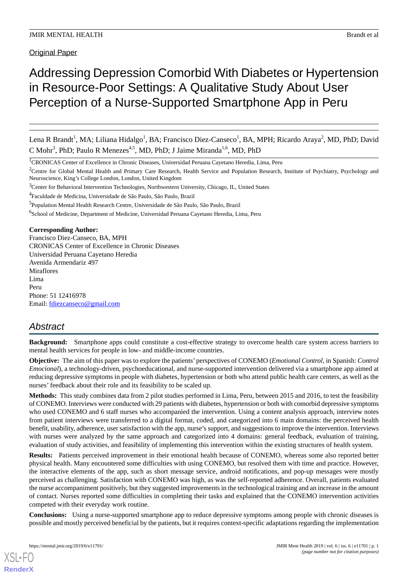Original Paper

# Addressing Depression Comorbid With Diabetes or Hypertension in Resource-Poor Settings: A Qualitative Study About User Perception of a Nurse-Supported Smartphone App in Peru

Lena R Brandt<sup>1</sup>, MA; Liliana Hidalgo<sup>1</sup>, BA; Francisco Diez-Canseco<sup>1</sup>, BA, MPH; Ricardo Araya<sup>2</sup>, MD, PhD; David C Mohr<sup>3</sup>, PhD; Paulo R Menezes<sup>4,5</sup>, MD, PhD; J Jaime Miranda<sup>1,6</sup>, MD, PhD

<sup>1</sup>CRONICAS Center of Excellence in Chronic Diseases, Universidad Peruana Cayetano Heredia, Lima, Peru

<sup>2</sup>Centre for Global Mental Health and Primary Care Research, Health Service and Population Research, Institute of Psychiatry, Psychology and Neuroscience, King's College London, London, United Kingdom

<sup>3</sup>Center for Behavioral Intervention Technologies, Northwestern University, Chicago, IL, United States

<sup>4</sup>Faculdade de Medicina, Universidade de São Paulo, São Paulo, Brazil

<sup>5</sup>Population Mental Health Research Centre, Universidade de São Paulo, São Paulo, Brazil

<sup>6</sup>School of Medicine, Department of Medicine, Universidad Peruana Cayetano Heredia, Lima, Peru

**Corresponding Author:**

Francisco Diez-Canseco, BA, MPH CRONICAS Center of Excellence in Chronic Diseases Universidad Peruana Cayetano Heredia Avenida Armendariz 497 Miraflores Lima Peru Phone: 51 12416978 Email: [fdiezcanseco@gmail.com](mailto:fdiezcanseco@gmail.com)

# *Abstract*

**Background:** Smartphone apps could constitute a cost-effective strategy to overcome health care system access barriers to mental health services for people in low- and middle-income countries.

**Objective:** The aim of this paper was to explore the patients' perspectives of CONEMO (*Emotional Control*, in Spanish: *Control Emocional*), a technology-driven, psychoeducational, and nurse-supported intervention delivered via a smartphone app aimed at reducing depressive symptoms in people with diabetes, hypertension or both who attend public health care centers, as well as the nurses' feedback about their role and its feasibility to be scaled up.

**Methods:** This study combines data from 2 pilot studies performed in Lima, Peru, between 2015 and 2016, to test the feasibility of CONEMO. Interviews were conducted with 29 patients with diabetes, hypertension or both with comorbid depressive symptoms who used CONEMO and 6 staff nurses who accompanied the intervention. Using a content analysis approach, interview notes from patient interviews were transferred to a digital format, coded, and categorized into 6 main domains: the perceived health benefit, usability, adherence, user satisfaction with the app, nurse's support, and suggestions to improve the intervention. Interviews with nurses were analyzed by the same approach and categorized into 4 domains: general feedback, evaluation of training, evaluation of study activities, and feasibility of implementing this intervention within the existing structures of health system.

**Results:** Patients perceived improvement in their emotional health because of CONEMO, whereas some also reported better physical health. Many encountered some difficulties with using CONEMO, but resolved them with time and practice. However, the interactive elements of the app, such as short message service, android notifications, and pop-up messages were mostly perceived as challenging. Satisfaction with CONEMO was high, as was the self-reported adherence. Overall, patients evaluated the nurse accompaniment positively, but they suggested improvements in the technological training and an increase in the amount of contact. Nurses reported some difficulties in completing their tasks and explained that the CONEMO intervention activities competed with their everyday work routine.

**Conclusions:** Using a nurse-supported smartphone app to reduce depressive symptoms among people with chronic diseases is possible and mostly perceived beneficial by the patients, but it requires context-specific adaptations regarding the implementation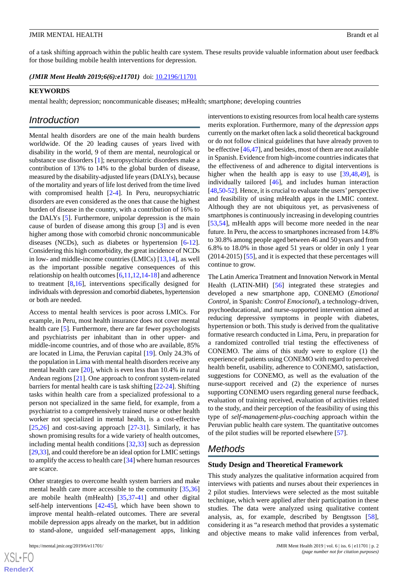of a task shifting approach within the public health care system. These results provide valuable information about user feedback for those building mobile health interventions for depression.

*(JMIR Ment Health 2019;6(6):e11701)* doi: **[10.2196/11701](http://dx.doi.org/10.2196/11701)** 

#### **KEYWORDS**

mental health; depression; noncommunicable diseases; mHealth; smartphone; developing countries

# *Introduction*

Mental health disorders are one of the main health burdens worldwide. Of the 20 leading causes of years lived with disability in the world, 9 of them are mental, neurological or substance use disorders [[1\]](#page-15-0); neuropsychiatric disorders make a contribution of 13% to 14% to the global burden of disease, measured by the disability-adjusted life years (DALYs), because of the mortality and years of life lost derived from the time lived with compromised health [[2-](#page-15-1)[4\]](#page-15-2). In Peru, neuropsychiatric disorders are even considered as the ones that cause the highest burden of disease in the country, with a contribution of 16% to the DALYs [[5\]](#page-15-3). Furthermore, unipolar depression is the main cause of burden of disease among this group [[3](#page-15-4)] and is even higher among those with comorbid chronic noncommunicable diseases (NCDs), such as diabetes or hypertension [[6](#page-15-5)-[12\]](#page-16-0). Considering this high comorbidity, the great incidence of NCDs in low- and middle-income countries (LMICs) [\[13](#page-16-1),[14\]](#page-16-2), as well as the important possible negative consequences of this relationship on health outcomes [[6,](#page-15-5)[11](#page-16-3),[12,](#page-16-0)[14](#page-16-2)[-18](#page-16-4)] and adherence to treatment [[8,](#page-15-6)[16\]](#page-16-5), interventions specifically designed for individuals with depression and comorbid diabetes, hypertension or both are needed.

Access to mental health services is poor across LMICs. For example, in Peru, most health insurance does not cover mental health care [\[5](#page-15-3)]. Furthermore, there are far fewer psychologists and psychiatrists per inhabitant than in other upper- and middle-income countries, and of those who are available, 85% are located in Lima, the Peruvian capital [[19\]](#page-16-6). Only 24.3% of the population in Lima with mental health disorders receive any mental health care [[20\]](#page-16-7), which is even less than 10.4% in rural Andean regions [[21\]](#page-16-8). One approach to confront system-related barriers for mental health care is task shifting [[22](#page-16-9)[-24](#page-16-10)]. Shifting tasks within health care from a specialized professional to a person not specialized in the same field, for example, from a psychiatrist to a comprehensively trained nurse or other health worker not specialized in mental health, is a cost-effective  $[25,26]$  $[25,26]$  $[25,26]$  $[25,26]$  and cost-saving approach  $[27-31]$  $[27-31]$  $[27-31]$ . Similarly, it has shown promising results for a wide variety of health outcomes, including mental health conditions [\[32](#page-17-0),[33\]](#page-17-1) such as depression [[29,](#page-16-15)[33\]](#page-17-1), and could therefore be an ideal option for LMIC settings to amplify the access to health care [[34\]](#page-17-2) where human resources are scarce.

Other strategies to overcome health system barriers and make mental health care more accessible to the community [[35](#page-17-3)[,36](#page-17-4)] are mobile health (mHealth) [\[35](#page-17-3)[,37](#page-17-5)[-41](#page-17-6)] and other digital self-help interventions [[42-](#page-17-7)[45\]](#page-17-8), which have been shown to improve mental health–related outcomes. There are several mobile depression apps already on the market, but in addition to stand-alone, unguided self-management apps, linking

 $XS$  $\cdot$ FC **[RenderX](http://www.renderx.com/)**

interventions to existing resources from local health care systems merits exploration. Furthermore, many of the *depression apps* currently on the market often lack a solid theoretical background or do not follow clinical guidelines that have already proven to be effective [\[46](#page-17-9)[,47](#page-17-10)], and besides, most of them are not available in Spanish. Evidence from high-income countries indicates that the effectiveness of and adherence to digital interventions is higher when the health app is easy to use [[39](#page-17-11)[,48](#page-17-12),[49\]](#page-17-13), is individually tailored [[46\]](#page-17-9), and includes human interaction [[48](#page-17-12)[,50](#page-17-14)[-52](#page-17-15)]. Hence, it is crucial to evaluate the users' perspective and feasibility of using mHealth apps in the LMIC context. Although they are not ubiquitous yet, as pervasiveness of smartphones is continuously increasing in developing countries [[53,](#page-17-16)[54\]](#page-17-17), mHealth apps will become more needed in the near future. In Peru, the access to smartphones increased from 14.8% to 30.8% among people aged between 46 and 50 years and from 6.8% to 18.0% in those aged 51 years or older in only 1 year (2014-2015) [\[55](#page-18-0)], and it is expected that these percentages will continue to grow.

The Latin America Treatment and Innovation Network in Mental Health (LATIN-MH) [\[56](#page-18-1)] integrated these strategies and developed a new smartphone app, CONEMO (*Emotional Control*, in Spanish: *Control Emocional*), a technology-driven, psychoeducational, and nurse-supported intervention aimed at reducing depressive symptoms in people with diabetes, hypertension or both. This study is derived from the qualitative formative research conducted in Lima, Peru, in preparation for a randomized controlled trial testing the effectiveness of CONEMO. The aims of this study were to explore (1) the experience of patients using CONEMO with regard to perceived health benefit, usability, adherence to CONEMO, satisfaction, suggestions for CONEMO, as well as the evaluation of the nurse-support received and (2) the experience of nurses supporting CONEMO users regarding general nurse feedback, evaluation of training received, evaluation of activities related to the study, and their perception of the feasibility of using this type of *self-management-plus-coaching* approach within the Peruvian public health care system. The quantitative outcomes of the pilot studies will be reported elsewhere [[57\]](#page-18-2).

# *Methods*

#### **Study Design and Theoretical Framework**

This study analyzes the qualitative information acquired from interviews with patients and nurses about their experiences in 2 pilot studies. Interviews were selected as the most suitable technique, which were applied after their participation in these studies. The data were analyzed using qualitative content analysis, as, for example, described by Bengtsson [[58\]](#page-18-3), considering it as "a research method that provides a systematic and objective means to make valid inferences from verbal,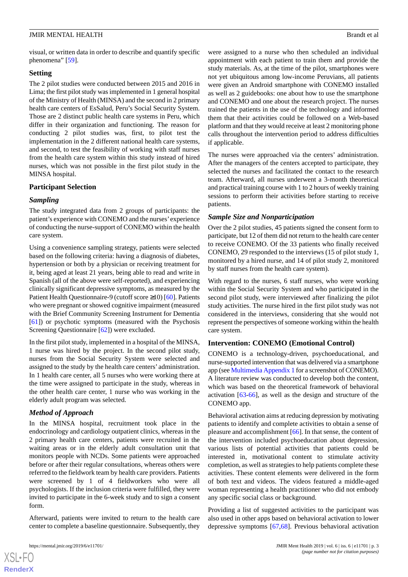visual, or written data in order to describe and quantify specific phenomena" [[59\]](#page-18-4).

### **Setting**

The 2 pilot studies were conducted between 2015 and 2016 in Lima; the first pilot study was implemented in 1 general hospital of the Ministry of Health (MINSA) and the second in 2 primary health care centers of EsSalud, Peru's Social Security System. Those are 2 distinct public health care systems in Peru, which differ in their organization and functioning. The reason for conducting 2 pilot studies was, first, to pilot test the implementation in the 2 different national health care systems, and second, to test the feasibility of working with staff nurses from the health care system within this study instead of hired nurses, which was not possible in the first pilot study in the MINSA hospital.

# **Participant Selection**

# *Sampling*

The study integrated data from 2 groups of participants: the patient's experience with CONEMO and the nurses' experience of conducting the nurse-support of CONEMO within the health care system.

Using a convenience sampling strategy, patients were selected based on the following criteria: having a diagnosis of diabetes, hypertension or both by a physician or receiving treatment for it, being aged at least 21 years, being able to read and write in Spanish (all of the above were self-reported), and experiencing clinically significant depressive symptoms, as measured by the Patient Health Questionnaire-9 (cutoff score ≥10) [\[60](#page-18-5)]. Patients who were pregnant or showed cognitive impairment (measured with the Brief Community Screening Instrument for Dementia [[61\]](#page-18-6)) or psychotic symptoms (measured with the Psychosis Screening Questionnaire [[62\]](#page-18-7)) were excluded.

In the first pilot study, implemented in a hospital of the MINSA, 1 nurse was hired by the project. In the second pilot study, nurses from the Social Security System were selected and assigned to the study by the health care centers' administration. In 1 health care center, all 5 nurses who were working there at the time were assigned to participate in the study, whereas in the other health care center, 1 nurse who was working in the elderly adult program was selected.

# *Method of Approach*

In the MINSA hospital, recruitment took place in the endocrinology and cardiology outpatient clinics, whereas in the 2 primary health care centers, patients were recruited in the waiting areas or in the elderly adult consultation unit that monitors people with NCDs. Some patients were approached before or after their regular consultations, whereas others were referred to the fieldwork team by health care providers. Patients were screened by 1 of 4 fieldworkers who were all psychologists. If the inclusion criteria were fulfilled, they were invited to participate in the 6-week study and to sign a consent form.

Afterward, patients were invited to return to the health care center to complete a baseline questionnaire. Subsequently, they

were assigned to a nurse who then scheduled an individual appointment with each patient to train them and provide the study materials. As, at the time of the pilot, smartphones were not yet ubiquitous among low-income Peruvians, all patients were given an Android smartphone with CONEMO installed as well as 2 guidebooks: one about how to use the smartphone and CONEMO and one about the research project. The nurses trained the patients in the use of the technology and informed them that their activities could be followed on a Web-based platform and that they would receive at least 2 monitoring phone calls throughout the intervention period to address difficulties if applicable.

The nurses were approached via the centers' administration. After the managers of the centers accepted to participate, they selected the nurses and facilitated the contact to the research team. Afterward, all nurses underwent a 3-month theoretical and practical training course with 1 to 2 hours of weekly training sessions to perform their activities before starting to receive patients.

# *Sample Size and Nonparticipation*

Over the 2 pilot studies, 45 patients signed the consent form to participate, but 12 of them did not return to the health care center to receive CONEMO. Of the 33 patients who finally received CONEMO, 29 responded to the interviews (15 of pilot study 1, monitored by a hired nurse, and 14 of pilot study 2, monitored by staff nurses from the health care system).

With regard to the nurses, 6 staff nurses, who were working within the Social Security System and who participated in the second pilot study, were interviewed after finalizing the pilot study activities. The nurse hired in the first pilot study was not considered in the interviews, considering that she would not represent the perspectives of someone working within the health care system.

# **Intervention: CONEMO (Emotional Control)**

CONEMO is a technology-driven, psychoeducational, and nurse-supported intervention that was delivered via a smartphone app (see [Multimedia Appendix 1](#page-15-7) for a screenshot of CONEMO). A literature review was conducted to develop both the content, which was based on the theoretical framework of behavioral activation [[63-](#page-18-8)[66\]](#page-18-9), as well as the design and structure of the CONEMO app.

Behavioral activation aims at reducing depression by motivating patients to identify and complete activities to obtain a sense of pleasure and accomplishment [[66\]](#page-18-9). In that sense, the content of the intervention included psychoeducation about depression, various lists of potential activities that patients could be interested in, motivational content to stimulate activity completion, as well as strategies to help patients complete these activities. These content elements were delivered in the form of both text and videos. The videos featured a middle-aged woman representing a health practitioner who did not embody any specific social class or background.

Providing a list of suggested activities to the participant was also used in other apps based on behavioral activation to lower depressive symptoms [\[67](#page-18-10),[68\]](#page-18-11). Previous behavioral activation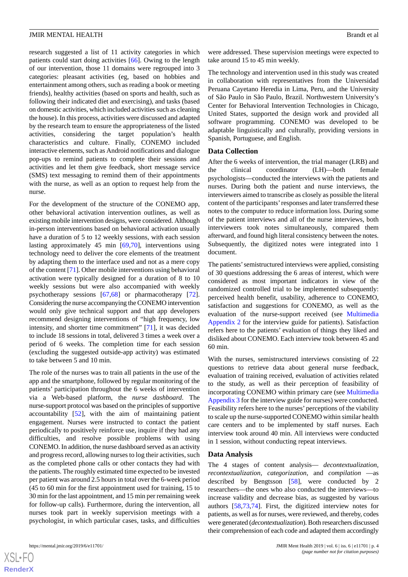research suggested a list of 11 activity categories in which patients could start doing activities [[66\]](#page-18-9). Owing to the length of our intervention, those 11 domains were regrouped into 3 categories: pleasant activities (eg, based on hobbies and entertainment among others, such as reading a book or meeting friends), healthy activities (based on sports and health, such as following their indicated diet and exercising), and tasks (based on domestic activities, which included activities such as cleaning the house). In this process, activities were discussed and adapted by the research team to ensure the appropriateness of the listed activities, considering the target population's health characteristics and culture. Finally, CONEMO included interactive elements, such as Android notifications and dialogue pop-ups to remind patients to complete their sessions and activities and let them give feedback, short message service (SMS) text messaging to remind them of their appointments with the nurse, as well as an option to request help from the nurse.

For the development of the structure of the CONEMO app, other behavioral activation intervention outlines, as well as existing mobile intervention designs, were considered. Although in-person interventions based on behavioral activation usually have a duration of 5 to 12 weekly sessions, with each session lasting approximately 45 min [\[69](#page-18-12),[70\]](#page-18-13), interventions using technology need to deliver the core elements of the treatment by adapting them to the interface used and not as a mere copy of the content [\[71](#page-18-14)]. Other mobile interventions using behavioral activation were typically designed for a duration of 8 to 10 weekly sessions but were also accompanied with weekly psychotherapy sessions [[67,](#page-18-10)[68](#page-18-11)] or pharmacotherapy [[72\]](#page-18-15). Considering the nurse accompanying the CONEMO intervention would only give technical support and that app developers recommend designing interventions of "high frequency, low intensity, and shorter time commitment" [[71\]](#page-18-14), it was decided to include 18 sessions in total, delivered 3 times a week over a period of 6 weeks. The completion time for each session (excluding the suggested outside-app activity) was estimated to take between 5 and 10 min.

The role of the nurses was to train all patients in the use of the app and the smartphone, followed by regular monitoring of the patients' participation throughout the 6 weeks of intervention via a Web-based platform, the *nurse dashboard*. The nurse-support protocol was based on the principles of supportive accountability [[52\]](#page-17-15), with the aim of maintaining patient engagement. Nurses were instructed to contact the patient periodically to positively reinforce use, inquire if they had any difficulties, and resolve possible problems with using CONEMO. In addition, the nurse dashboard served as an activity and progress record, allowing nurses to log their activities, such as the completed phone calls or other contacts they had with the patients. The roughly estimated time expected to be invested per patient was around 2.5 hours in total over the 6-week period (45 to 60 min for the first appointment used for training, 15 to 30 min for the last appointment, and 15 min per remaining week for follow-up calls). Furthermore, during the intervention, all nurses took part in weekly supervision meetings with a psychologist, in which particular cases, tasks, and difficulties

were addressed. These supervision meetings were expected to take around 15 to 45 min weekly.

The technology and intervention used in this study was created in collaboration with representatives from the Universidad Peruana Cayetano Heredia in Lima, Peru, and the University of São Paulo in São Paulo, Brazil. Northwestern University's Center for Behavioral Intervention Technologies in Chicago, United States, supported the design work and provided all software programming. CONEMO was developed to be adaptable linguistically and culturally, providing versions in Spanish, Portuguese, and English.

#### **Data Collection**

After the 6 weeks of intervention, the trial manager (LRB) and the clinical coordinator (LH)—both female psychologists—conducted the interviews with the patients and nurses. During both the patient and nurse interviews, the interviewers aimed to transcribe as closely as possible the literal content of the participants'responses and later transferred these notes to the computer to reduce information loss. During some of the patient interviews and all of the nurse interviews, both interviewers took notes simultaneously, compared them afterward, and found high literal consistency between the notes. Subsequently, the digitized notes were integrated into 1 document.

The patients'semistructured interviews were applied, consisting of 30 questions addressing the 6 areas of interest, which were considered as most important indicators in view of the randomized controlled trial to be implemented subsequently: perceived health benefit, usability, adherence to CONEMO, satisfaction and suggestions for CONEMO, as well as the evaluation of the nurse-support received (see [Multimedia](#page-15-8) [Appendix 2](#page-15-8) for the interview guide for patients). Satisfaction refers here to the patients' evaluation of things they liked and disliked about CONEMO. Each interview took between 45 and 60 min.

With the nurses, semistructured interviews consisting of 22 questions to retrieve data about general nurse feedback, evaluation of training received, evaluation of activities related to the study, as well as their perception of feasibility of incorporating CONEMO within primary care (see [Multimedia](#page-15-9) [Appendix 3](#page-15-9) for the interview guide for nurses) were conducted. Feasibility refers here to the nurses' perceptions of the viability to scale up the nurse-supported CONEMO within similar health care centers and to be implemented by staff nurses. Each interview took around 40 min. All interviews were conducted in 1 session, without conducting repeat interviews.

#### **Data Analysis**

The 4 stages of content analysis— *decontextualization, recontextualization, categorization*, and *compilation* —as described by Bengtsson [[58\]](#page-18-3), were conducted by 2 researchers—the ones who also conducted the interviews—to increase validity and decrease bias, as suggested by various authors [[58,](#page-18-3)[73](#page-18-16),[74\]](#page-18-17). First, the digitized interview notes for patients, as well as for nurses, were reviewed, and thereby, codes were generated (*decontextualization*). Both researchers discussed their comprehension of each code and adapted them accordingly

 $XS$  $\cdot$ FC **[RenderX](http://www.renderx.com/)**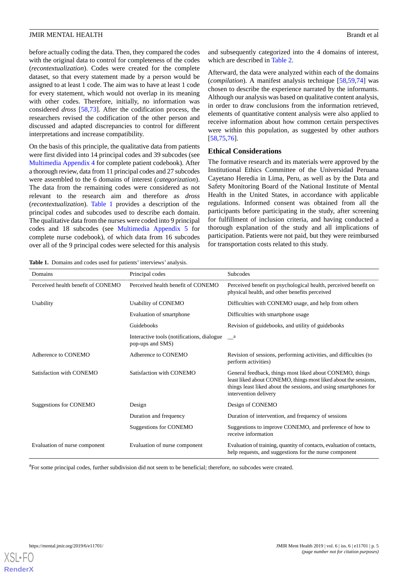before actually coding the data. Then, they compared the codes with the original data to control for completeness of the codes (*recontextualization*). Codes were created for the complete dataset, so that every statement made by a person would be assigned to at least 1 code. The aim was to have at least 1 code for every statement, which would not overlap in its meaning with other codes. Therefore, initially, no information was considered *dross* [\[58](#page-18-3),[73\]](#page-18-16). After the codification process, the researchers revised the codification of the other person and discussed and adapted discrepancies to control for different interpretations and increase compatibility.

On the basis of this principle, the qualitative data from patients were first divided into 14 principal codes and 39 subcodes (see [Multimedia Appendix 4](#page-15-10) for complete patient codebook). After a thorough review, data from 11 principal codes and 27 subcodes were assembled to the 6 domains of interest (*categorization*). The data from the remaining codes were considered as not relevant to the research aim and therefore as *dross* (*recontextualization*). [Table 1](#page-4-0) provides a description of the principal codes and subcodes used to describe each domain. The qualitative data from the nurses were coded into 9 principal codes and 18 subcodes (see [Multimedia Appendix 5](#page-15-11) for complete nurse codebook), of which data from 16 subcodes over all of the 9 principal codes were selected for this analysis

<span id="page-4-0"></span>**Table 1.** Domains and codes used for patients' interviews' analysis.

and subsequently categorized into the 4 domains of interest, which are described in [Table 2.](#page-5-0)

Afterward, the data were analyzed within each of the domains (*compilation*). A manifest analysis technique [\[58](#page-18-3),[59](#page-18-4)[,74](#page-18-17)] was chosen to describe the experience narrated by the informants. Although our analysis was based on qualitative content analysis, in order to draw conclusions from the information retrieved, elements of quantitative content analysis were also applied to receive information about how common certain perspectives were within this population, as suggested by other authors [[58,](#page-18-3)[75,](#page-18-18)[76\]](#page-18-19).

#### **Ethical Considerations**

The formative research and its materials were approved by the Institutional Ethics Committee of the Universidad Peruana Cayetano Heredia in Lima, Peru, as well as by the Data and Safety Monitoring Board of the National Institute of Mental Health in the United States, in accordance with applicable regulations. Informed consent was obtained from all the participants before participating in the study, after screening for fulfillment of inclusion criteria, and having conducted a thorough explanation of the study and all implications of participation. Patients were not paid, but they were reimbursed for transportation costs related to this study.

| Domains                            | Principal codes                                                | <b>Subcodes</b>                                                                                                                                                                                                          |
|------------------------------------|----------------------------------------------------------------|--------------------------------------------------------------------------------------------------------------------------------------------------------------------------------------------------------------------------|
| Perceived health benefit of CONEMO | Perceived health benefit of CONEMO                             | Perceived benefit on psychological health, perceived benefit on<br>physical health, and other benefits perceived                                                                                                         |
| Usability                          | Usability of CONEMO                                            | Difficulties with CONEMO usage, and help from others                                                                                                                                                                     |
|                                    | Evaluation of smartphone                                       | Difficulties with smartphone usage                                                                                                                                                                                       |
|                                    | Guidebooks                                                     | Revision of guidebooks, and utility of guidebooks                                                                                                                                                                        |
|                                    | Interactive tools (notifications, dialogue<br>pop-ups and SMS) | a a                                                                                                                                                                                                                      |
| Adherence to CONEMO                | Adherence to CONEMO                                            | Revision of sessions, performing activities, and difficulties (to<br>perform activities)                                                                                                                                 |
| Satisfaction with CONEMO           | Satisfaction with CONEMO                                       | General feedback, things most liked about CONEMO, things<br>least liked about CONEMO, things most liked about the sessions,<br>things least liked about the sessions, and using smartphones for<br>intervention delivery |
| Suggestions for CONEMO             | Design                                                         | Design of CONEMO                                                                                                                                                                                                         |
|                                    | Duration and frequency                                         | Duration of intervention, and frequency of sessions                                                                                                                                                                      |
|                                    | Suggestions for CONEMO                                         | Suggestions to improve CONEMO, and preference of how to<br>receive information                                                                                                                                           |
| Evaluation of nurse component      | Evaluation of nurse component                                  | Evaluation of training, quantity of contacts, evaluation of contacts,<br>help requests, and suggestions for the nurse component                                                                                          |

<sup>a</sup>For some principal codes, further subdivision did not seem to be beneficial; therefore, no subcodes were created.

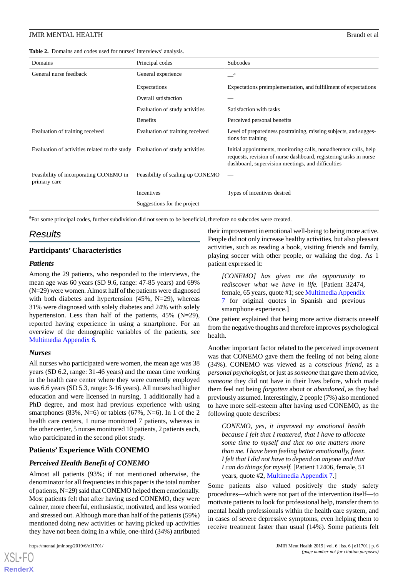<span id="page-5-0"></span>**Table 2.** Domains and codes used for nurses' interviews' analysis.

| Domains                                                                      | Principal codes                  | Subcodes                                                                                                                                                                                   |  |
|------------------------------------------------------------------------------|----------------------------------|--------------------------------------------------------------------------------------------------------------------------------------------------------------------------------------------|--|
| General nurse feedback                                                       | General experience               | $\mathbf{a}$                                                                                                                                                                               |  |
|                                                                              | Expectations                     | Expectations preimplementation, and fulfillment of expectations                                                                                                                            |  |
|                                                                              | Overall satisfaction             |                                                                                                                                                                                            |  |
|                                                                              | Evaluation of study activities   | Satisfaction with tasks                                                                                                                                                                    |  |
|                                                                              | <b>Benefits</b>                  | Perceived personal benefits                                                                                                                                                                |  |
| Evaluation of training received                                              | Evaluation of training received  | Level of preparedness posttraining, missing subjects, and sugges-<br>tions for training                                                                                                    |  |
| Evaluation of activities related to the study Evaluation of study activities |                                  | Initial appointments, monitoring calls, nonadherence calls, help<br>requests, revision of nurse dashboard, registering tasks in nurse<br>dashboard, supervision meetings, and difficulties |  |
| Feasibility of incorporating CONEMO in<br>primary care                       | Feasibility of scaling up CONEMO |                                                                                                                                                                                            |  |
|                                                                              | Incentives                       | Types of incentives desired                                                                                                                                                                |  |
|                                                                              | Suggestions for the project      |                                                                                                                                                                                            |  |

<sup>a</sup>For some principal codes, further subdivision did not seem to be beneficial, therefore no subcodes were created.

# *Results*

### **Participants' Characteristics**

#### *Patients*

Among the 29 patients, who responded to the interviews, the mean age was 60 years (SD 9.6, range: 47-85 years) and 69% (N=29) were women. Almost half of the patients were diagnosed with both diabetes and hypertension (45%, N=29), whereas 31% were diagnosed with solely diabetes and 24% with solely hypertension. Less than half of the patients, 45% (N=29), reported having experience in using a smartphone. For an overview of the demographic variables of the patients, see [Multimedia Appendix 6.](#page-15-12)

# *Nurses*

All nurses who participated were women, the mean age was 38 years (SD 6.2, range: 31-46 years) and the mean time working in the health care center where they were currently employed was 6.6 years (SD 5.3, range: 3-16 years). All nurses had higher education and were licensed in nursing, 1 additionally had a PhD degree, and most had previous experience with using smartphones  $(83\%, N=6)$  or tablets  $(67\%, N=6)$ . In 1 of the 2 health care centers, 1 nurse monitored 7 patients, whereas in the other center, 5 nurses monitored 10 patients, 2 patients each, who participated in the second pilot study.

# **Patients' Experience With CONEMO**

# *Perceived Health Benefit of CONEMO*

Almost all patients (93%; if not mentioned otherwise, the denominator for all frequencies in this paper is the total number of patients, N=29) said that CONEMO helped them emotionally. Most patients felt that after having used CONEMO, they were calmer, more cheerful, enthusiastic, motivated, and less worried and stressed out. Although more than half of the patients (59%) mentioned doing new activities or having picked up activities they have not been doing in a while, one-third (34%) attributed

[XSL](http://www.w3.org/Style/XSL)•FO **[RenderX](http://www.renderx.com/)**

their improvement in emotional well-being to being more active. People did not only increase healthy activities, but also pleasant activities, such as reading a book, visiting friends and family, playing soccer with other people, or walking the dog. As 1 patient expressed it:

*[CONEMO] has given me the opportunity to rediscover what we have in life.* [Patient 32474, female, 65 years, quote #1; see [Multimedia Appendix](#page-15-13) [7](#page-15-13) for original quotes in Spanish and previous smartphone experience.]

One patient explained that being more active distracts oneself from the negative thoughts and therefore improves psychological health.

Another important factor related to the perceived improvement was that CONEMO gave them the feeling of not being alone (34%). CONEMO was viewed as a *conscious friend*, as a *personal psychologist*, or just as *someone* that gave them advice, *someone* they did not have in their lives before, which made them feel not being *forgotten* about or *abandoned*, as they had previously assumed. Interestingly, 2 people (7%) also mentioned to have more self-esteem after having used CONEMO, as the following quote describes:

*CONEMO, yes, it improved my emotional health because I felt that I mattered, that I have to allocate some time to myself and that no one matters more than me. I have been feeling better emotionally, freer. I felt that I did not have to depend on anyone and that I can do things for myself.* [Patient 12406, female, 51 years, quote #2, [Multimedia Appendix 7.](#page-15-13)]

Some patients also valued positively the study safety procedures—which were not part of the intervention itself—to motivate patients to look for professional help, transfer them to mental health professionals within the health care system, and in cases of severe depressive symptoms, even helping them to receive treatment faster than usual (14%). Some patients felt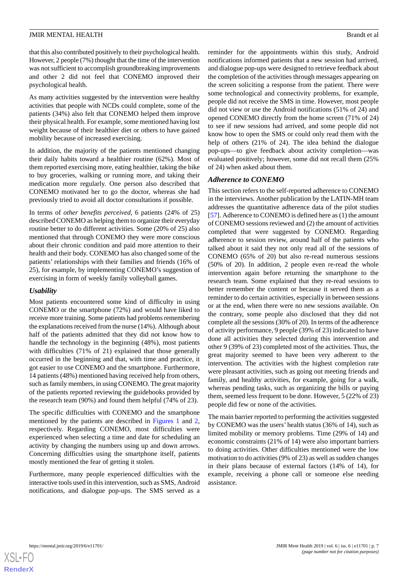that this also contributed positively to their psychological health. However, 2 people (7%) thought that the time of the intervention was not sufficient to accomplish groundbreaking improvements and other 2 did not feel that CONEMO improved their psychological health.

As many activities suggested by the intervention were healthy activities that people with NCDs could complete, some of the patients (34%) also felt that CONEMO helped them improve their physical health. For example, some mentioned having lost weight because of their healthier diet or others to have gained mobility because of increased exercising.

In addition, the majority of the patients mentioned changing their daily habits toward a healthier routine (62%). Most of them reported exercising more, eating healthier, taking the bike to buy groceries, walking or running more, and taking their medication more regularly. One person also described that CONEMO motivated her to go the doctor, whereas she had previously tried to avoid all doctor consultations if possible.

In terms of *other benefits perceived*, 6 patients (24% of 25) described CONEMO as helping them to organize their everyday routine better to do different activities. Some (20% of 25) also mentioned that through CONEMO they were more conscious about their chronic condition and paid more attention to their health and their body. CONEMO has also changed some of the patients' relationships with their families and friends (16% of 25), for example, by implementing CONEMO's suggestion of exercising in form of weekly family volleyball games.

#### *Usability*

Most patients encountered some kind of difficulty in using CONEMO or the smartphone (72%) and would have liked to receive more training. Some patients had problems remembering the explanations received from the nurse (14%). Although about half of the patients admitted that they did not know how to handle the technology in the beginning (48%), most patients with difficulties (71% of 21) explained that those generally occurred in the beginning and that, with time and practice, it got easier to use CONEMO and the smartphone. Furthermore, 14 patients (48%) mentioned having received help from others, such as family members, in using CONEMO. The great majority of the patients reported reviewing the guidebooks provided by the research team (90%) and found them helpful (74% of 23).

The specific difficulties with CONEMO and the smartphone mentioned by the patients are described in [Figures 1](#page-7-0) and [2](#page-7-1), respectively. Regarding CONEMO, most difficulties were experienced when selecting a time and date for scheduling an activity by changing the numbers using up and down arrows. Concerning difficulties using the smartphone itself, patients mostly mentioned the fear of getting it stolen.

Furthermore, many people experienced difficulties with the interactive tools used in this intervention, such as SMS, Android notifications, and dialogue pop-ups. The SMS served as a reminder for the appointments within this study, Android notifications informed patients that a new session had arrived, and dialogue pop-ups were designed to retrieve feedback about the completion of the activities through messages appearing on the screen soliciting a response from the patient. There were some technological and connectivity problems, for example, people did not receive the SMS in time. However, most people did not view or use the Android notifications (51% of 24) and opened CONEMO directly from the home screen (71% of 24) to see if new sessions had arrived, and some people did not know how to open the SMS or could only read them with the help of others (21% of 24). The idea behind the dialogue pop-ups—to give feedback about activity completion—was evaluated positively; however, some did not recall them (25% of 24) when asked about them.

# *Adherence to CONEMO*

This section refers to the self-reported adherence to CONEMO in the interviews. Another publication by the LATIN-MH team addresses the quantitative adherence data of the pilot studies [[57\]](#page-18-2). Adherence to CONEMO is defined here as (1) the amount of CONEMO sessions reviewed and (2) the amount of activities completed that were suggested by CONEMO. Regarding adherence to session review, around half of the patients who talked about it said they not only read all of the sessions of CONEMO (65% of 20) but also re-read numerous sessions (50% of 20). In addition, 2 people even re-read the whole intervention again before returning the smartphone to the research team. Some explained that they re-read sessions to better remember the content or because it served them as a reminder to do certain activities, especially in between sessions or at the end, when there were no new sessions available. On the contrary, some people also disclosed that they did not complete all the sessions (30% of 20). In terms of the adherence of activity performance, 9 people (39% of 23) indicated to have done all activities they selected during this intervention and other 9 (39% of 23) completed most of the activities. Thus, the great majority seemed to have been very adherent to the intervention. The activities with the highest completion rate were pleasant activities, such as going out meeting friends and family, and healthy activities, for example, going for a walk, whereas pending tasks, such as organizing the bills or paying them, seemed less frequent to be done. However, 5 (22% of 23) people did few or none of the activities.

The main barrier reported to performing the activities suggested by CONEMO was the users' health status (36% of 14), such as limited mobility or memory problems. Time (29% of 14) and economic constraints (21% of 14) were also important barriers to doing activities. Other difficulties mentioned were the low motivation to do activities (9% of 23) as well as sudden changes in their plans because of external factors (14% of 14), for example, receiving a phone call or someone else needing assistance.



**[RenderX](http://www.renderx.com/)**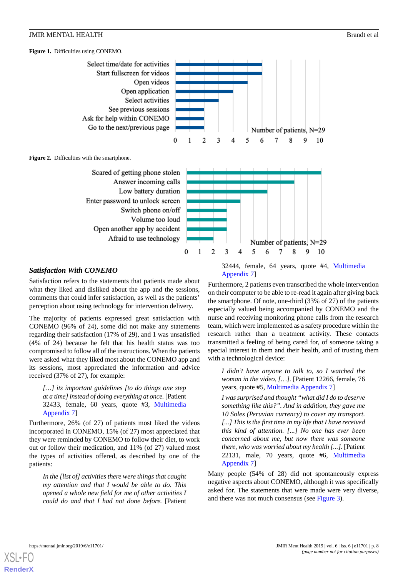<span id="page-7-0"></span>**Figure 1.** Difficulties using CONEMO.



<span id="page-7-1"></span>**Figure 2.** Difficulties with the smartphone.



#### *Satisfaction With CONEMO*

Satisfaction refers to the statements that patients made about what they liked and disliked about the app and the sessions, comments that could infer satisfaction, as well as the patients' perception about using technology for intervention delivery.

The majority of patients expressed great satisfaction with CONEMO (96% of 24), some did not make any statements regarding their satisfaction (17% of 29), and 1 was unsatisfied (4% of 24) because he felt that his health status was too compromised to follow all of the instructions. When the patients were asked what they liked most about the CONEMO app and its sessions, most appreciated the information and advice received (37% of 27), for example:

*[…] its important guidelines [to do things one step at a time] instead of doing everything at once.* [Patient 32433, female, 60 years, quote #3, [Multimedia](#page-15-13) [Appendix 7\]](#page-15-13)

Furthermore, 26% (of 27) of patients most liked the videos incorporated in CONEMO, 15% (of 27) most appreciated that they were reminded by CONEMO to follow their diet, to work out or follow their medication, and 11% (of 27) valued most the types of activities offered, as described by one of the patients:

*In the [list of] activities there were things that caught my attention and that I would be able to do. This opened a whole new field for me of other activities I could do and that I had not done before.* [Patient

32444, female, 64 years, quote #4, [Multimedia](#page-15-13) [Appendix 7\]](#page-15-13)

Furthermore, 2 patients even transcribed the whole intervention on their computer to be able to re-read it again after giving back the smartphone. Of note, one-third (33% of 27) of the patients especially valued being accompanied by CONEMO and the nurse and receiving monitoring phone calls from the research team, which were implemented as a safety procedure within the research rather than a treatment activity. These contacts transmitted a feeling of being cared for, of someone taking a special interest in them and their health, and of trusting them with a technological device:

*I didn't have anyone to talk to, so I watched the woman in the video, […].* [Patient 12266, female, 76 years, quote #5, [Multimedia Appendix 7\]](#page-15-13)

*I was surprised and thought "what did I do to deserve something like this?". And in addition, they gave me 10 Soles (Peruvian currency) to cover my transport. [...] This is the first time in my life that I have received this kind of attention. [...] No one has ever been concerned about me, but now there was someone there, who was worried about my health [...].* [Patient 22131, male, 70 years, quote #6, [Multimedia](#page-15-13) [Appendix 7\]](#page-15-13)

Many people (54% of 28) did not spontaneously express negative aspects about CONEMO*,* although it was specifically asked for. The statements that were made were very diverse, and there was not much consensus (see [Figure 3](#page-8-0)).

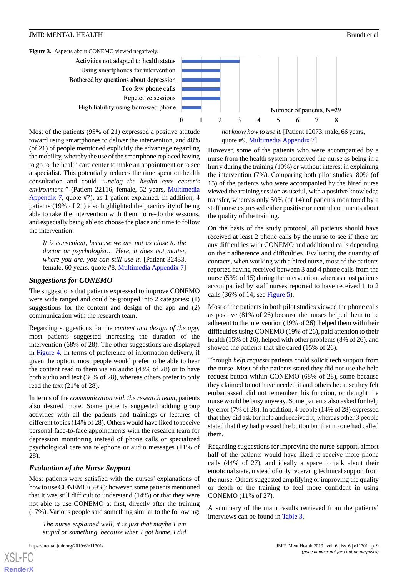<span id="page-8-0"></span>

Most of the patients (95% of 21) expressed a positive attitude toward using smartphones to deliver the intervention, and 48% (of 21) of people mentioned explicitly the advantage regarding the mobility, whereby the use of the smartphone replaced having to go to the health care center to make an appointment or to see a specialist. This potentially reduces the time spent on health consultation and could "*unclog the health care center's environment* " (Patient 22116, female, 52 years, [Multimedia](#page-15-13) [Appendix 7](#page-15-13), quote #7), as 1 patient explained. In addition, 4 patients (19% of 21) also highlighted the practicality of being able to take the intervention with them, to re-do the sessions, and especially being able to choose the place and time to follow the intervention:

*It is convenient, because we are not as close to the doctor or psychologist… Here, it does not matter, where you are, you can still use it.* [Patient 32433, female, 60 years, quote #8, [Multimedia Appendix 7](#page-15-13)]

# *Suggestions for CONEMO*

The suggestions that patients expressed to improve CONEMO were wide ranged and could be grouped into 2 categories: (1) suggestions for the content and design of the app and (2) communication with the research team.

Regarding suggestions for the *content and design of the app*, most patients suggested increasing the duration of the intervention (68% of 28). The other suggestions are displayed in [Figure 4](#page-9-0)*.* In terms of preference of information delivery, if given the option, most people would prefer to be able to hear the content read to them via an audio (43% of 28) or to have both audio and text (36% of 28), whereas others prefer to only read the text (21% of 28).

In terms of the *communication with the research team*, patients also desired more. Some patients suggested adding group activities with all the patients and trainings or lectures of different topics (14% of 28). Others would have liked to receive personal face-to-face appointments with the research team for depression monitoring instead of phone calls or specialized psychological care via telephone or audio messages (11% of 28).

# *Evaluation of the Nurse Support*

Most patients were satisfied with the nurses' explanations of how to use CONEMO (59%); however, some patients mentioned that it was still difficult to understand (14%) or that they were not able to use CONEMO at first, directly after the training (17%). Various people said something similar to the following:

*The nurse explained well, it is just that maybe I am stupid or something, because when I got home, I did*

[XSL](http://www.w3.org/Style/XSL)•FO **[RenderX](http://www.renderx.com/)**

*not know how to use it.* [Patient 12073, male, 66 years, quote #9, [Multimedia Appendix 7\]](#page-15-13)

However, some of the patients who were accompanied by a nurse from the health system perceived the nurse as being in a hurry during the training (10%) or without interest in explaining the intervention (7%). Comparing both pilot studies, 80% (of 15) of the patients who were accompanied by the hired nurse viewed the training session as useful, with a positive knowledge transfer, whereas only 50% (of 14) of patients monitored by a staff nurse expressed either positive or neutral comments about the quality of the training.

On the basis of the study protocol, all patients should have received at least 2 phone calls by the nurse to see if there are any difficulties with CONEMO and additional calls depending on their adherence and difficulties. Evaluating the quantity of contacts, when working with a hired nurse, most of the patients reported having received between 3 and 4 phone calls from the nurse (53% of 15) during the intervention, whereas most patients accompanied by staff nurses reported to have received 1 to 2 calls (36% of 14; see [Figure 5\)](#page-9-1).

Most of the patients in both pilot studies viewed the phone calls as positive (81% of 26) because the nurses helped them to be adherent to the intervention (19% of 26), helped them with their difficulties using CONEMO (19% of 26), paid attention to their health (15% of 26), helped with other problems (8% of 26), and showed the patients that she cared (15% of 26).

Through *help requests* patients could solicit tech support from the nurse. Most of the patients stated they did not use the help request button within CONEMO (68% of 28), some because they claimed to not have needed it and others because they felt embarrassed, did not remember this function, or thought the nurse would be busy anyway. Some patients also asked for help by error (7% of 28). In addition, 4 people (14% of 28) expressed that they did ask for help and received it, whereas other 3 people stated that they had pressed the button but that no one had called them.

Regarding suggestions for improving the nurse-support, almost half of the patients would have liked to receive more phone calls (44% of 27), and ideally a space to talk about their emotional state, instead of only receiving technical support from the nurse. Others suggested amplifying or improving the quality or depth of the training to feel more confident in using CONEMO (11% of 27).

A summary of the main results retrieved from the patients' interviews can be found in [Table 3](#page-10-0).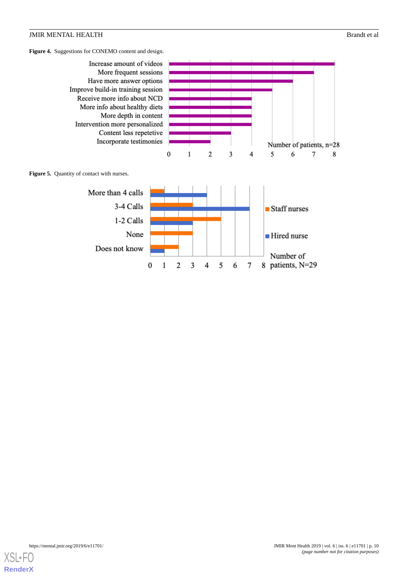<span id="page-9-0"></span>**Figure 4.** Suggestions for CONEMO content and design.

<span id="page-9-1"></span>

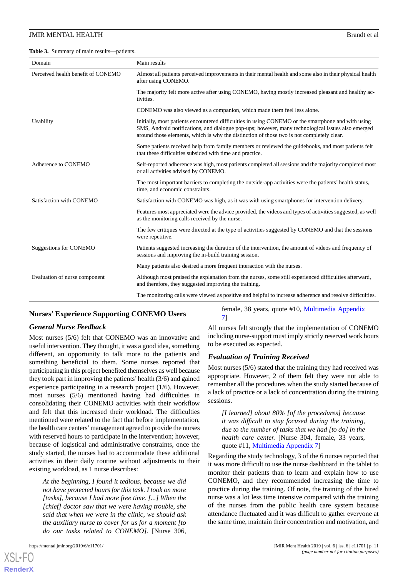<span id="page-10-0"></span>**Table 3.** Summary of main results—patients.

| Domain                             | Main results                                                                                                                                                                                                                                                                                         |  |
|------------------------------------|------------------------------------------------------------------------------------------------------------------------------------------------------------------------------------------------------------------------------------------------------------------------------------------------------|--|
| Perceived health benefit of CONEMO | Almost all patients perceived improvements in their mental health and some also in their physical health<br>after using CONEMO.                                                                                                                                                                      |  |
|                                    | The majority felt more active after using CONEMO, having mostly increased pleasant and healthy ac-<br>tivities.                                                                                                                                                                                      |  |
|                                    | CONEMO was also viewed as a companion, which made them feel less alone.                                                                                                                                                                                                                              |  |
| Usability                          | Initially, most patients encountered difficulties in using CONEMO or the smartphone and with using<br>SMS, Android notifications, and dialogue pop-ups; however, many technological issues also emerged<br>around those elements, which is why the distinction of those two is not completely clear. |  |
|                                    | Some patients received help from family members or reviewed the guidebooks, and most patients felt<br>that these difficulties subsided with time and practice.                                                                                                                                       |  |
| Adherence to CONEMO                | Self-reported adherence was high, most patients completed all sessions and the majority completed most<br>or all activities advised by CONEMO.                                                                                                                                                       |  |
|                                    | The most important barriers to completing the outside-app activities were the patients' health status,<br>time, and economic constraints.                                                                                                                                                            |  |
| Satisfaction with CONEMO           | Satisfaction with CONEMO was high, as it was with using smartphones for intervention delivery.                                                                                                                                                                                                       |  |
|                                    | Features most appreciated were the advice provided, the videos and types of activities suggested, as well<br>as the monitoring calls received by the nurse.                                                                                                                                          |  |
|                                    | The few critiques were directed at the type of activities suggested by CONEMO and that the sessions<br>were repetitive.                                                                                                                                                                              |  |
| <b>Suggestions for CONEMO</b>      | Patients suggested increasing the duration of the intervention, the amount of videos and frequency of<br>sessions and improving the in-build training session.                                                                                                                                       |  |
|                                    | Many patients also desired a more frequent interaction with the nurses.                                                                                                                                                                                                                              |  |
| Evaluation of nurse component      | Although most praised the explanation from the nurses, some still experienced difficulties afterward,<br>and therefore, they suggested improving the training.                                                                                                                                       |  |
|                                    | The monitoring calls were viewed as positive and helpful to increase adherence and resolve difficulties.                                                                                                                                                                                             |  |

#### **Nurses' Experience Supporting CONEMO Users**

#### *General Nurse Feedback*

Most nurses (5/6) felt that CONEMO was an innovative and useful intervention. They thought, it was a good idea, something different, an opportunity to talk more to the patients and something beneficial to them. Some nurses reported that participating in this project benefited themselves as well because they took part in improving the patients'health (3/6) and gained experience participating in a research project (1/6). However, most nurses (5/6) mentioned having had difficulties in consolidating their CONEMO activities with their workflow and felt that this increased their workload. The difficulties mentioned were related to the fact that before implementation, the health care centers'management agreed to provide the nurses with reserved hours to participate in the intervention; however, because of logistical and administrative constraints, once the study started, the nurses had to accommodate these additional activities in their daily routine without adjustments to their existing workload, as 1 nurse describes:

*At the beginning, I found it tedious, because we did not have protected hours for this task. I took on more [tasks], because I had more free time. [...] When the [chief] doctor saw that we were having trouble, she said that when we were in the clinic, we should ask the auxiliary nurse to cover for us for a moment [to do our tasks related to CONEMO].* [Nurse 306,

[XSL](http://www.w3.org/Style/XSL)•FO **[RenderX](http://www.renderx.com/)**

female, 38 years, quote #10, [Multimedia Appendix](#page-15-13) [7\]](#page-15-13)

All nurses felt strongly that the implementation of CONEMO including nurse-support must imply strictly reserved work hours to be executed as expected.

#### *Evaluation of Training Received*

Most nurses (5/6) stated that the training they had received was appropriate. However, 2 of them felt they were not able to remember all the procedures when the study started because of a lack of practice or a lack of concentration during the training sessions.

*[I learned] about 80% [of the procedures] because it was difficult to stay focused during the training, due to the number of tasks that we had [to do] in the health care center.* [Nurse 304, female, 33 years, quote #11, [Multimedia Appendix 7](#page-15-13)]

Regarding the study technology, 3 of the 6 nurses reported that it was more difficult to use the nurse dashboard in the tablet to monitor their patients than to learn and explain how to use CONEMO, and they recommended increasing the time to practice during the training. Of note, the training of the hired nurse was a lot less time intensive compared with the training of the nurses from the public health care system because attendance fluctuated and it was difficult to gather everyone at the same time, maintain their concentration and motivation, and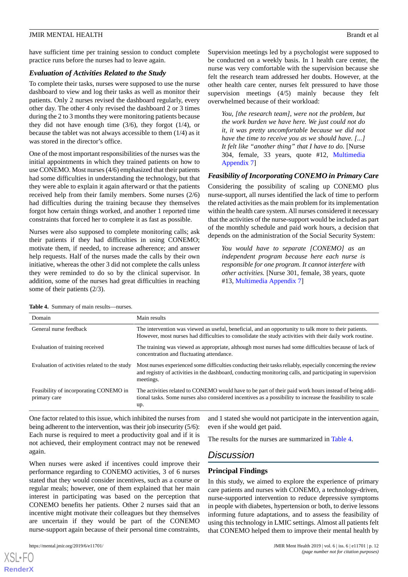have sufficient time per training session to conduct complete practice runs before the nurses had to leave again.

### *Evaluation of Activities Related to the Study*

To complete their tasks, nurses were supposed to use the nurse dashboard to view and log their tasks as well as monitor their patients. Only 2 nurses revised the dashboard regularly, every other day. The other 4 only revised the dashboard 2 or 3 times during the 2 to 3 months they were monitoring patients because they did not have enough time  $(3/6)$ , they forgot  $(1/4)$ , or because the tablet was not always accessible to them (1/4) as it was stored in the director's office.

One of the most important responsibilities of the nurses was the initial appointments in which they trained patients on how to use CONEMO. Most nurses (4/6) emphasized that their patients had some difficulties in understanding the technology, but that they were able to explain it again afterward or that the patients received help from their family members. Some nurses (2/6) had difficulties during the training because they themselves forgot how certain things worked, and another 1 reported time constraints that forced her to complete it as fast as possible.

Nurses were also supposed to complete monitoring calls; ask their patients if they had difficulties in using CONEMO; motivate them, if needed, to increase adherence; and answer help requests. Half of the nurses made the calls by their own initiative, whereas the other 3 did not complete the calls unless they were reminded to do so by the clinical supervisor. In addition, some of the nurses had great difficulties in reaching some of their patients (2/3).

Supervision meetings led by a psychologist were supposed to be conducted on a weekly basis. In 1 health care center, the nurse was very comfortable with the supervision because she felt the research team addressed her doubts. However, at the other health care center, nurses felt pressured to have those supervision meetings (4/5) mainly because they felt overwhelmed because of their workload:

*You, [the research team], were not the problem, but the work burden we have here. We just could not do it, it was pretty uncomfortable because we did not have the time to receive you as we should have. [...] It felt like "another thing" that I have to do.* [Nurse 304, female, 33 years, quote #12, [Multimedia](#page-15-13) [Appendix 7\]](#page-15-13)

# *Feasibility of Incorporating CONEMO in Primary Care*

Considering the possibility of scaling up CONEMO plus nurse-support, all nurses identified the lack of time to perform the related activities as the main problem for its implementation within the health care system. All nurses considered it necessary that the activities of the nurse-support would be included as part of the monthly schedule and paid work hours, a decision that depends on the administration of the Social Security System:

*You would have to separate [CONEMO] as an independent program because here each nurse is responsible for one program. It cannot interfere with other activities.* [Nurse 301, female, 38 years, quote #13, [Multimedia Appendix 7\]](#page-15-13)

| Domain                                                 | Main results                                                                                                                                                                                                                           |  |
|--------------------------------------------------------|----------------------------------------------------------------------------------------------------------------------------------------------------------------------------------------------------------------------------------------|--|
| General nurse feedback                                 | The intervention was viewed as useful, beneficial, and an opportunity to talk more to their patients.<br>However, most nurses had difficulties to consolidate the study activities with their daily work routine.                      |  |
| Evaluation of training received                        | The training was viewed as appropriate, although most nurses had some difficulties because of lack of<br>concentration and fluctuating attendance.                                                                                     |  |
| Evaluation of activities related to the study          | Most nurses experienced some difficulties conducting their tasks reliably, especially concerning the review<br>and registry of activities in the dashboard, conducting monitoring calls, and participating in supervision<br>meetings. |  |
| Feasibility of incorporating CONEMO in<br>primary care | The activities related to CONEMO would have to be part of their paid work hours instead of being addi-<br>tional tasks. Some nurses also considered incentives as a possibility to increase the feasibility to scale<br>up.            |  |

<span id="page-11-0"></span>**Table 4.** Summary of main results—nurses.

One factor related to this issue, which inhibited the nurses from being adherent to the intervention, was their job insecurity (5/6): Each nurse is required to meet a productivity goal and if it is not achieved, their employment contract may not be renewed again.

When nurses were asked if incentives could improve their performance regarding to CONEMO activities, 3 of 6 nurses stated that they would consider incentives, such as a course or regular meals; however, one of them explained that her main interest in participating was based on the perception that CONEMO benefits her patients. Other 2 nurses said that an incentive might motivate their colleagues but they themselves are uncertain if they would be part of the CONEMO nurse-support again because of their personal time constraints,

[XSL](http://www.w3.org/Style/XSL)•FO **[RenderX](http://www.renderx.com/)**

and 1 stated she would not participate in the intervention again, even if she would get paid.

The results for the nurses are summarized in [Table 4](#page-11-0).

# *Discussion*

# **Principal Findings**

In this study, we aimed to explore the experience of primary care patients and nurses with CONEMO, a technology-driven, nurse-supported intervention to reduce depressive symptoms in people with diabetes, hypertension or both, to derive lessons informing future adaptations, and to assess the feasibility of using this technology in LMIC settings. Almost all patients felt that CONEMO helped them to improve their mental health by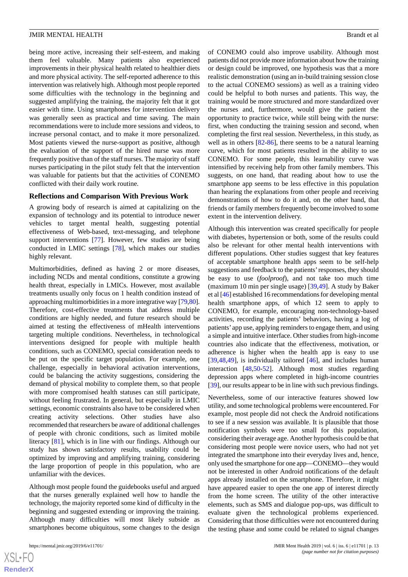being more active, increasing their self-esteem, and making them feel valuable. Many patients also experienced improvements in their physical health related to healthier diets and more physical activity. The self-reported adherence to this intervention was relatively high. Although most people reported some difficulties with the technology in the beginning and suggested amplifying the training, the majority felt that it got easier with time. Using smartphones for intervention delivery was generally seen as practical and time saving. The main recommendations were to include more sessions and videos, to increase personal contact, and to make it more personalized. Most patients viewed the nurse-support as positive, although the evaluation of the support of the hired nurse was more frequently positive than of the staff nurses. The majority of staff nurses participating in the pilot study felt that the intervention was valuable for patients but that the activities of CONEMO conflicted with their daily work routine.

#### **Reflections and Comparison With Previous Work**

A growing body of research is aimed at capitalizing on the expansion of technology and its potential to introduce newer vehicles to target mental health, suggesting potential effectiveness of Web-based, text-messaging, and telephone support interventions [\[77](#page-19-0)]. However, few studies are being conducted in LMIC settings [[78\]](#page-19-1), which makes our studies highly relevant.

Multimorbidities, defined as having 2 or more diseases, including NCDs and mental conditions, constitute a growing health threat, especially in LMICs. However, most available treatments usually only focus on 1 health condition instead of approaching multimorbidities in a more integrative way [[79,](#page-19-2)[80\]](#page-19-3). Therefore, cost-effective treatments that address multiple conditions are highly needed, and future research should be aimed at testing the effectiveness of mHealth interventions targeting multiple conditions. Nevertheless, in technological interventions designed for people with multiple health conditions, such as CONEMO, special consideration needs to be put on the specific target population. For example, one challenge, especially in behavioral activation interventions, could be balancing the activity suggestions, considering the demand of physical mobility to complete them, so that people with more compromised health statuses can still participate, without feeling frustrated. In general, but especially in LMIC settings, economic constraints also have to be considered when creating activity selections. Other studies have also recommended that researchers be aware of additional challenges of people with chronic conditions, such as limited mobile literacy [[81\]](#page-19-4), which is in line with our findings. Although our study has shown satisfactory results, usability could be optimized by improving and amplifying training, considering the large proportion of people in this population, who are unfamiliar with the devices.

Although most people found the guidebooks useful and argued that the nurses generally explained well how to handle the technology, the majority reported some kind of difficulty in the beginning and suggested extending or improving the training. Although many difficulties will most likely subside as smartphones become ubiquitous, some changes to the design

of CONEMO could also improve usability. Although most patients did not provide more information about how the training or design could be improved, one hypothesis was that a more realistic demonstration (using an in-build training session close to the actual CONEMO sessions) as well as a training video could be helpful to both nurses and patients. This way, the training would be more structured and more standardized over the nurses and, furthermore, would give the patient the opportunity to practice twice, while still being with the nurse: first, when conducting the training session and second, when completing the first real session. Nevertheless, in this study, as well as in others [\[82](#page-19-5)-[86\]](#page-19-6), there seems to be a natural learning curve, which for most patients resulted in the ability to use CONEMO. For some people, this learnability curve was intensified by receiving help from other family members. This suggests, on one hand, that reading about how to use the smartphone app seems to be less effective in this population than hearing the explanations from other people and receiving demonstrations of how to do it and, on the other hand, that friends or family members frequently become involved to some extent in the intervention delivery.

Although this intervention was created specifically for people with diabetes, hypertension or both, some of the results could also be relevant for other mental health interventions with different populations. Other studies suggest that key features of acceptable smartphone health apps seem to be self-help suggestions and feedback to the patients'responses, they should be easy to use (*foolproof*), and not take too much time (maximum 10 min per single usage) [[39,](#page-17-11)[49](#page-17-13)]. A study by Baker et al [[46](#page-17-9)] established 16 recommendations for developing mental health smartphone apps, of which 12 seem to apply to CONEMO, for example, encouraging non-technology-based activities, recording the patients' behaviors, having a log of patients' app use, applying reminders to engage them, and using a simple and intuitive interface. Other studies from high-income countries also indicate that the effectiveness, motivation, or adherence is higher when the health app is easy to use  $[39,48,49]$  $[39,48,49]$  $[39,48,49]$  $[39,48,49]$ , is individually tailored  $[46]$  $[46]$ , and includes human interaction [\[48](#page-17-12),[50](#page-17-14)[-52](#page-17-15)]. Although most studies regarding depression apps where completed in high-income countries [[39\]](#page-17-11), our results appear to be in line with such previous findings.

Nevertheless, some of our interactive features showed low utility, and some technological problems were encountered. For example, most people did not check the Android notifications to see if a new session was available. It is plausible that those notification symbols were too small for this population, considering their average age. Another hypothesis could be that considering most people were novice users, who had not yet integrated the smartphone into their everyday lives and, hence, only used the smartphone for one app—CONEMO—they would not be interested in other Android notifications of the default apps already installed on the smartphone. Therefore, it might have appeared easier to open the one app of interest directly from the home screen. The utility of the other interactive elements, such as SMS and dialogue pop-ups, was difficult to evaluate given the technological problems experienced. Considering that those difficulties were not encountered during the testing phase and some could be related to signal changes

 $XS$ -FO **[RenderX](http://www.renderx.com/)**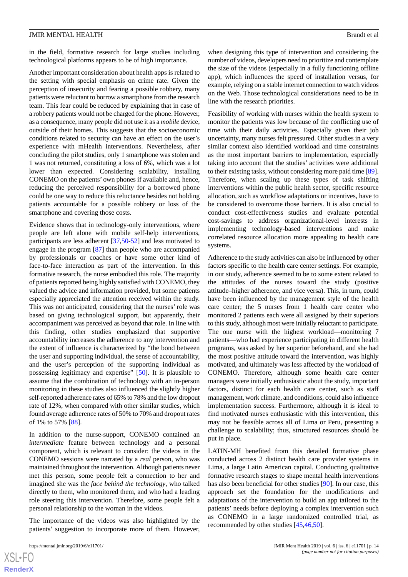in the field, formative research for large studies including technological platforms appears to be of high importance.

Another important consideration about health apps is related to the setting with special emphasis on crime rate. Given the perception of insecurity and fearing a possible robbery, many patients were reluctant to borrow a smartphone from the research team. This fear could be reduced by explaining that in case of a robbery patients would not be charged for the phone. However, as a consequence, many people did not use it as a *mobile* device, outside of their homes. This suggests that the socioeconomic conditions related to security can have an effect on the user's experience with mHealth interventions. Nevertheless, after concluding the pilot studies, only 1 smartphone was stolen and 1 was not returned, constituting a loss of 6%, which was a lot lower than expected. Considering scalability, installing CONEMO on the patients' own phones if available and, hence, reducing the perceived responsibility for a borrowed phone could be one way to reduce this reluctance besides not holding patients accountable for a possible robbery or loss of the smartphone and covering those costs.

Evidence shows that in technology-only interventions, where people are left alone with mobile self-help interventions, participants are less adherent [[37,](#page-17-5)[50-](#page-17-14)[52\]](#page-17-15) and less motivated to engage in the program [[87\]](#page-19-7) than people who are accompanied by professionals or coaches or have some other kind of face-to-face interaction as part of the intervention. In this formative research, the nurse embodied this role. The majority of patients reported being highly satisfied with CONEMO, they valued the advice and information provided, but some patients especially appreciated the attention received within the study. This was not anticipated, considering that the nurses' role was based on giving technological support, but apparently, their accompaniment was perceived as beyond that role. In line with this finding, other studies emphasized that supportive accountability increases the adherence to any intervention and the extent of influence is characterized by "the bond between the user and supporting individual, the sense of accountability, and the user's perception of the supporting individual as possessing legitimacy and expertise" [\[50](#page-17-14)]. It is plausible to assume that the combination of technology with an in-person monitoring in these studies also influenced the slightly higher self-reported adherence rates of 65% to 78% and the low dropout rate of 12%, when compared with other similar studies, which found average adherence rates of 50% to 70% and dropout rates of 1% to 57% [[88\]](#page-19-8).

In addition to the nurse-support, CONEMO contained an *intermediate* feature between technology and a personal component, which is relevant to consider: the videos in the CONEMO sessions were narrated by a *real* person, who was maintained throughout the intervention. Although patients never met this person, some people felt a connection to her and imagined she was the *face behind the technology*, who talked directly to them, who monitored them, and who had a leading role steering this intervention. Therefore, some people felt a personal relationship to the woman in the videos.

The importance of the videos was also highlighted by the patients' suggestion to incorporate more of them. However,

 $XS$  $\cdot$ FC **[RenderX](http://www.renderx.com/)** when designing this type of intervention and considering the number of videos, developers need to prioritize and contemplate the size of the videos (especially in a fully functioning offline app), which influences the speed of installation versus, for example, relying on a stable internet connection to watch videos on the Web. Those technological considerations need to be in line with the research priorities.

Feasibility of working with nurses within the health system to monitor the patients was low because of the conflicting use of time with their daily activities. Especially given their job uncertainty, many nurses felt pressured. Other studies in a very similar context also identified workload and time constraints as the most important barriers to implementation, especially taking into account that the studies' activities were additional to their existing tasks, without considering more paid time [[89\]](#page-19-9). Therefore, when scaling up these types of task shifting interventions within the public health sector, specific resource allocation, such as workflow adaptations or incentives, have to be considered to overcome those barriers. It is also crucial to conduct cost-effectiveness studies and evaluate potential cost-savings to address organizational-level interests in implementing technology-based interventions and make correlated resource allocation more appealing to health care systems.

Adherence to the study activities can also be influenced by other factors specific to the health care center settings. For example, in our study, adherence seemed to be to some extent related to the attitudes of the nurses toward the study (positive attitude–higher adherence, and vice versa). This, in turn, could have been influenced by the management style of the health care center; the 5 nurses from 1 health care center who monitored 2 patients each were all assigned by their superiors to this study, although most were initially reluctant to participate. The one nurse with the highest workload—monitoring 7 patients—who had experience participating in different health programs, was asked by her superior beforehand, and she had the most positive attitude toward the intervention, was highly motivated, and ultimately was less affected by the workload of CONEMO. Therefore, although some health care center managers were initially enthusiastic about the study, important factors, distinct for each health care center, such as staff management, work climate, and conditions, could also influence implementation success. Furthermore, although it is ideal to find motivated nurses enthusiastic with this intervention, this may not be feasible across all of Lima or Peru, presenting a challenge to scalability; thus, structured resources should be put in place.

LATIN-MH benefited from this detailed formative phase conducted across 2 distinct health care provider systems in Lima, a large Latin American capital. Conducting qualitative formative research stages to shape mental health interventions has also been beneficial for other studies [\[90](#page-19-10)]. In our case, this approach set the foundation for the modifications and adaptations of the intervention to build an app tailored to the patients' needs before deploying a complex intervention such as CONEMO in a large randomized controlled trial, as recommended by other studies [[45](#page-17-8)[,46](#page-17-9),[50\]](#page-17-14).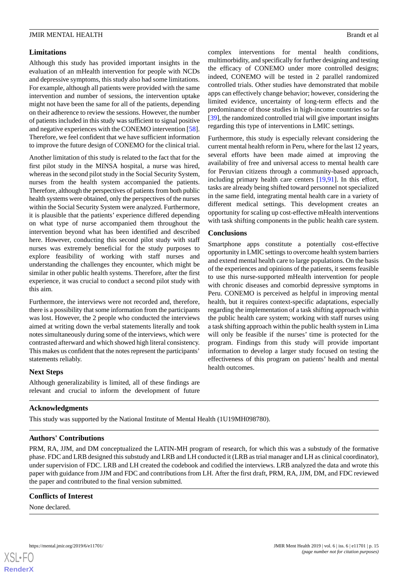### **Limitations**

Although this study has provided important insights in the evaluation of an mHealth intervention for people with NCDs and depressive symptoms, this study also had some limitations. For example, although all patients were provided with the same intervention and number of sessions, the intervention uptake might not have been the same for all of the patients, depending on their adherence to review the sessions. However, the number of patients included in this study was sufficient to signal positive and negative experiences with the CONEMO intervention [[58\]](#page-18-3). Therefore, we feel confident that we have sufficient information to improve the future design of CONEMO for the clinical trial.

Another limitation of this study is related to the fact that for the first pilot study in the MINSA hospital, a nurse was hired, whereas in the second pilot study in the Social Security System, nurses from the health system accompanied the patients. Therefore, although the perspectives of patients from both public health systems were obtained, only the perspectives of the nurses within the Social Security System were analyzed. Furthermore, it is plausible that the patients' experience differed depending on what type of nurse accompanied them throughout the intervention beyond what has been identified and described here. However, conducting this second pilot study with staff nurses was extremely beneficial for the study purposes to explore feasibility of working with staff nurses and understanding the challenges they encounter, which might be similar in other public health systems. Therefore, after the first experience, it was crucial to conduct a second pilot study with this aim.

Furthermore, the interviews were not recorded and, therefore, there is a possibility that some information from the participants was lost. However, the 2 people who conducted the interviews aimed at writing down the verbal statements literally and took notes simultaneously during some of the interviews, which were contrasted afterward and which showed high literal consistency. This makes us confident that the notes represent the participants' statements reliably.

### **Next Steps**

Although generalizability is limited, all of these findings are relevant and crucial to inform the development of future

complex interventions for mental health conditions, multimorbidity, and specifically for further designing and testing the efficacy of CONEMO under more controlled designs; indeed, CONEMO will be tested in 2 parallel randomized controlled trials. Other studies have demonstrated that mobile apps can effectively change behavior; however, considering the limited evidence, uncertainty of long-term effects and the predominance of those studies in high-income countries so far [[39\]](#page-17-11), the randomized controlled trial will give important insights regarding this type of interventions in LMIC settings.

Furthermore, this study is especially relevant considering the current mental health reform in Peru, where for the last 12 years, several efforts have been made aimed at improving the availability of free and universal access to mental health care for Peruvian citizens through a community-based approach, including primary health care centers [\[19](#page-16-6),[91\]](#page-19-11). In this effort, tasks are already being shifted toward personnel not specialized in the same field, integrating mental health care in a variety of different medical settings. This development creates an opportunity for scaling up cost-effective mHealth interventions with task shifting components in the public health care system.

#### **Conclusions**

Smartphone apps constitute a potentially cost-effective opportunity in LMIC settings to overcome health system barriers and extend mental health care to large populations. On the basis of the experiences and opinions of the patients, it seems feasible to use this nurse-supported mHealth intervention for people with chronic diseases and comorbid depressive symptoms in Peru. CONEMO is perceived as helpful in improving mental health, but it requires context-specific adaptations, especially regarding the implementation of a task shifting approach within the public health care system; working with staff nurses using a task shifting approach within the public health system in Lima will only be feasible if the nurses' time is protected for the program. Findings from this study will provide important information to develop a larger study focused on testing the effectiveness of this program on patients' health and mental health outcomes.

#### **Acknowledgments**

This study was supported by the National Institute of Mental Health (1U19MH098780).

#### **Authors' Contributions**

PRM, RA, JJM, and DM conceptualized the LATIN-MH program of research, for which this was a substudy of the formative phase. FDC and LRB designed this substudy and LRB and LH conducted it (LRB as trial manager and LH as clinical coordinator), under supervision of FDC. LRB and LH created the codebook and codified the interviews. LRB analyzed the data and wrote this paper with guidance from JJM and FDC and contributions from LH. After the first draft, PRM, RA, JJM, DM, and FDC reviewed the paper and contributed to the final version submitted.

#### **Conflicts of Interest**

None declared.

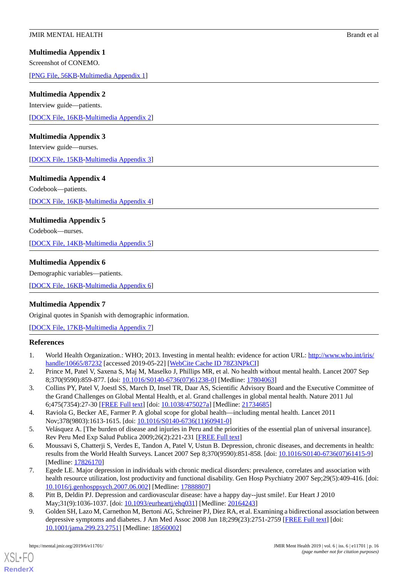# <span id="page-15-7"></span>**Multimedia Appendix 1**

Screenshot of CONEMO.

<span id="page-15-8"></span>[[PNG File, 56KB-Multimedia Appendix 1](https://jmir.org/api/download?alt_name=mental_v6i6e11701_app1.png&filename=434ee8d391d1e7ca73640c300aa1b7aa.png)]

# **Multimedia Appendix 2**

Interview guide—patients. [[DOCX File, 16KB-Multimedia Appendix 2\]](https://jmir.org/api/download?alt_name=mental_v6i6e11701_app2.docx&filename=dd14b27284fce71f15680720df284748.docx)

# <span id="page-15-9"></span>**Multimedia Appendix 3**

Interview guide—nurses.

<span id="page-15-10"></span>[[DOCX File, 15KB-Multimedia Appendix 3\]](https://jmir.org/api/download?alt_name=mental_v6i6e11701_app3.docx&filename=d74dd578d2662903d8034b3a9ff4a41b.docx)

# **Multimedia Appendix 4**

Codebook—patients.

<span id="page-15-11"></span>[[DOCX File, 16KB-Multimedia Appendix 4\]](https://jmir.org/api/download?alt_name=mental_v6i6e11701_app4.docx&filename=65938ae400f4110333354ff1b7e80b51.docx)

# **Multimedia Appendix 5**

<span id="page-15-12"></span>Codebook—nurses.

[[DOCX File, 14KB-Multimedia Appendix 5\]](https://jmir.org/api/download?alt_name=mental_v6i6e11701_app5.docx&filename=2e8892180256731fe5ef15cdf9576965.docx)

# **Multimedia Appendix 6**

<span id="page-15-13"></span>Demographic variables—patients.

[[DOCX File, 16KB-Multimedia Appendix 6\]](https://jmir.org/api/download?alt_name=mental_v6i6e11701_app6.docx&filename=b8855c814f09f4f5dd457bb42c7d2226.docx)

# **Multimedia Appendix 7**

<span id="page-15-0"></span>Original quotes in Spanish with demographic information.

<span id="page-15-1"></span>[[DOCX File, 17KB-Multimedia Appendix 7\]](https://jmir.org/api/download?alt_name=mental_v6i6e11701_app7.docx&filename=9358bcc68f7f3de64c3c2aea5d55f836.docx)

# **References**

- <span id="page-15-4"></span>1. World Health Organization.: WHO; 2013. Investing in mental health: evidence for action URL: [http://www.who.int/iris/](http://www.who.int/iris/handle/10665/87232) [handle/10665/87232](http://www.who.int/iris/handle/10665/87232) [accessed 2019-05-22] [[WebCite Cache ID 78Z3NPkCI](http://www.webcitation.org/

                                78Z3NPkCI)]
- <span id="page-15-2"></span>2. Prince M, Patel V, Saxena S, Maj M, Maselko J, Phillips MR, et al. No health without mental health. Lancet 2007 Sep 8;370(9590):859-877. [doi: [10.1016/S0140-6736\(07\)61238-0\]](http://dx.doi.org/10.1016/S0140-6736(07)61238-0) [Medline: [17804063](http://www.ncbi.nlm.nih.gov/entrez/query.fcgi?cmd=Retrieve&db=PubMed&list_uids=17804063&dopt=Abstract)]
- <span id="page-15-3"></span>3. Collins PY, Patel V, Joestl SS, March D, Insel TR, Daar AS, Scientific Advisory Board and the Executive Committee of the Grand Challenges on Global Mental Health, et al. Grand challenges in global mental health. Nature 2011 Jul 6;475(7354):27-30 [[FREE Full text](http://europepmc.org/abstract/MED/21734685)] [doi: [10.1038/475027a](http://dx.doi.org/10.1038/475027a)] [Medline: [21734685](http://www.ncbi.nlm.nih.gov/entrez/query.fcgi?cmd=Retrieve&db=PubMed&list_uids=21734685&dopt=Abstract)]
- <span id="page-15-5"></span>4. Raviola G, Becker AE, Farmer P. A global scope for global health—including mental health. Lancet 2011 Nov;378(9803):1613-1615. [doi: [10.1016/S0140-6736\(11\)60941-0\]](http://dx.doi.org/10.1016/S0140-6736(11)60941-0)
- 5. Velásquez A. [The burden of disease and injuries in Peru and the priorities of the essential plan of universal insurance]. Rev Peru Med Exp Salud Publica 2009;26(2):221-231 [\[FREE Full text\]](http://www.scielo.org.pe/scielo.php?pid=S1726-46342009000200015&script=sci_arttext)
- <span id="page-15-6"></span>6. Moussavi S, Chatterji S, Verdes E, Tandon A, Patel V, Ustun B. Depression, chronic diseases, and decrements in health: results from the World Health Surveys. Lancet 2007 Sep 8;370(9590):851-858. [doi: [10.1016/S0140-6736\(07\)61415-9\]](http://dx.doi.org/10.1016/S0140-6736(07)61415-9) [Medline: [17826170](http://www.ncbi.nlm.nih.gov/entrez/query.fcgi?cmd=Retrieve&db=PubMed&list_uids=17826170&dopt=Abstract)]
- 7. Egede LE. Major depression in individuals with chronic medical disorders: prevalence, correlates and association with health resource utilization, lost productivity and functional disability. Gen Hosp Psychiatry 2007 Sep;29(5):409-416. [doi: [10.1016/j.genhosppsych.2007.06.002](http://dx.doi.org/10.1016/j.genhosppsych.2007.06.002)] [Medline: [17888807](http://www.ncbi.nlm.nih.gov/entrez/query.fcgi?cmd=Retrieve&db=PubMed&list_uids=17888807&dopt=Abstract)]
- 8. Pitt B, Deldin PJ. Depression and cardiovascular disease: have a happy day--just smile!. Eur Heart J 2010 May;31(9):1036-1037. [doi: [10.1093/eurheartj/ehq031\]](http://dx.doi.org/10.1093/eurheartj/ehq031) [Medline: [20164243\]](http://www.ncbi.nlm.nih.gov/entrez/query.fcgi?cmd=Retrieve&db=PubMed&list_uids=20164243&dopt=Abstract)
- 9. Golden SH, Lazo M, Carnethon M, Bertoni AG, Schreiner PJ, Diez RA, et al. Examining a bidirectional association between depressive symptoms and diabetes. J Am Med Assoc 2008 Jun 18;299(23):2751-2759 [\[FREE Full text](http://europepmc.org/abstract/MED/18560002)] [doi: [10.1001/jama.299.23.2751\]](http://dx.doi.org/10.1001/jama.299.23.2751) [Medline: [18560002\]](http://www.ncbi.nlm.nih.gov/entrez/query.fcgi?cmd=Retrieve&db=PubMed&list_uids=18560002&dopt=Abstract)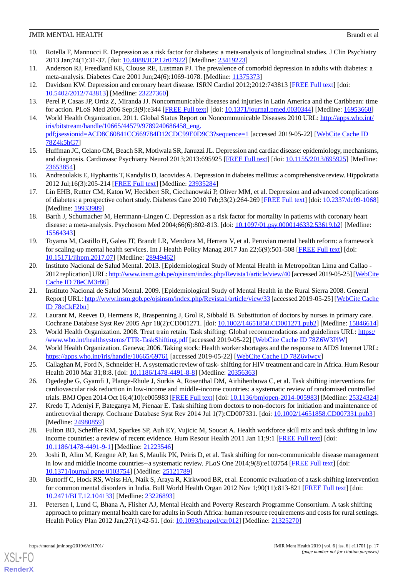- 10. Rotella F, Mannucci E. Depression as a risk factor for diabetes: a meta-analysis of longitudinal studies. J Clin Psychiatry 2013 Jan;74(1):31-37. [doi: [10.4088/JCP.12r07922](http://dx.doi.org/10.4088/JCP.12r07922)] [Medline: [23419223](http://www.ncbi.nlm.nih.gov/entrez/query.fcgi?cmd=Retrieve&db=PubMed&list_uids=23419223&dopt=Abstract)]
- <span id="page-16-3"></span><span id="page-16-0"></span>11. Anderson RJ, Freedland KE, Clouse RE, Lustman PJ. The prevalence of comorbid depression in adults with diabetes: a meta-analysis. Diabetes Care 2001 Jun;24(6):1069-1078. [Medline: [11375373](http://www.ncbi.nlm.nih.gov/entrez/query.fcgi?cmd=Retrieve&db=PubMed&list_uids=11375373&dopt=Abstract)]
- <span id="page-16-1"></span>12. Davidson KW. Depression and coronary heart disease. ISRN Cardiol 2012;2012:743813 [[FREE Full text](https://dx.doi.org/10.5402/2012/743813)] [doi: [10.5402/2012/743813\]](http://dx.doi.org/10.5402/2012/743813) [Medline: [23227360](http://www.ncbi.nlm.nih.gov/entrez/query.fcgi?cmd=Retrieve&db=PubMed&list_uids=23227360&dopt=Abstract)]
- <span id="page-16-2"></span>13. Perel P, Casas JP, Ortiz Z, Miranda JJ. Noncommunicable diseases and injuries in Latin America and the Caribbean: time for action. PLoS Med 2006 Sep;3(9):e344 [[FREE Full text](http://dx.plos.org/10.1371/journal.pmed.0030344)] [doi: [10.1371/journal.pmed.0030344](http://dx.doi.org/10.1371/journal.pmed.0030344)] [Medline: [16953660\]](http://www.ncbi.nlm.nih.gov/entrez/query.fcgi?cmd=Retrieve&db=PubMed&list_uids=16953660&dopt=Abstract)
- 14. World Health Organization. 2011. Global Status Report on Noncommunicable Diseases 2010 URL: [http://apps.who.int/](http://apps.who.int/iris/bitstream/handle/10665/44579/9789240686458_eng.pdf;jsessionid=ACD8C60841CC669784D12CDC99E0D9C3?sequence=1) [iris/bitstream/handle/10665/44579/9789240686458\\_eng.](http://apps.who.int/iris/bitstream/handle/10665/44579/9789240686458_eng.pdf;jsessionid=ACD8C60841CC669784D12CDC99E0D9C3?sequence=1) [pdf;jsessionid=ACD8C60841CC669784D12CDC99E0D9C3?sequence=1](http://apps.who.int/iris/bitstream/handle/10665/44579/9789240686458_eng.pdf;jsessionid=ACD8C60841CC669784D12CDC99E0D9C3?sequence=1) [accessed 2019-05-22] [\[WebCite Cache ID](http://www.webcitation.org/

                                78Z4k5hG7) [78Z4k5hG7\]](http://www.webcitation.org/

                                78Z4k5hG7)
- <span id="page-16-5"></span>15. Huffman JC, Celano CM, Beach SR, Motiwala SR, Januzzi JL. Depression and cardiac disease: epidemiology, mechanisms, and diagnosis. Cardiovasc Psychiatry Neurol 2013;2013:695925 [[FREE Full text](https://dx.doi.org/10.1155/2013/695925)] [doi: [10.1155/2013/695925](http://dx.doi.org/10.1155/2013/695925)] [Medline: [23653854](http://www.ncbi.nlm.nih.gov/entrez/query.fcgi?cmd=Retrieve&db=PubMed&list_uids=23653854&dopt=Abstract)]
- 16. Andreoulakis E, Hyphantis T, Kandylis D, Iacovides A. Depression in diabetes mellitus: a comprehensive review. Hippokratia 2012 Jul;16(3):205-214 [\[FREE Full text\]](http://europepmc.org/abstract/MED/23935284) [Medline: [23935284](http://www.ncbi.nlm.nih.gov/entrez/query.fcgi?cmd=Retrieve&db=PubMed&list_uids=23935284&dopt=Abstract)]
- <span id="page-16-4"></span>17. Lin EHB, Rutter CM, Katon W, Heckbert SR, Ciechanowski P, Oliver MM, et al. Depression and advanced complications of diabetes: a prospective cohort study. Diabetes Care 2010 Feb;33(2):264-269 [[FREE Full text\]](http://europepmc.org/abstract/MED/19933989) [doi: [10.2337/dc09-1068](http://dx.doi.org/10.2337/dc09-1068)] [Medline: [19933989](http://www.ncbi.nlm.nih.gov/entrez/query.fcgi?cmd=Retrieve&db=PubMed&list_uids=19933989&dopt=Abstract)]
- <span id="page-16-6"></span>18. Barth J, Schumacher M, Herrmann-Lingen C. Depression as a risk factor for mortality in patients with coronary heart disease: a meta-analysis. Psychosom Med 2004;66(6):802-813. [doi: [10.1097/01.psy.0000146332.53619.b2\]](http://dx.doi.org/10.1097/01.psy.0000146332.53619.b2) [Medline: [15564343](http://www.ncbi.nlm.nih.gov/entrez/query.fcgi?cmd=Retrieve&db=PubMed&list_uids=15564343&dopt=Abstract)]
- <span id="page-16-7"></span>19. Toyama M, Castillo H, Galea JT, Brandt LR, Mendoza M, Herrera V, et al. Peruvian mental health reform: a framework for scaling-up mental health services. Int J Health Policy Manag 2017 Jan 22;6(9):501-508 [[FREE Full text](http://europepmc.org/abstract/MED/28949462)] [doi: [10.15171/ijhpm.2017.07](http://dx.doi.org/10.15171/ijhpm.2017.07)] [Medline: [28949462\]](http://www.ncbi.nlm.nih.gov/entrez/query.fcgi?cmd=Retrieve&db=PubMed&list_uids=28949462&dopt=Abstract)
- <span id="page-16-8"></span>20. Instituto Nacional de Salud Mental. 2013. [Epidemiological Study of Mental Health in Metropolitan Lima and Callao 2012 replication] URL:<http://www.insm.gob.pe/ojsinsm/index.php/Revista1/article/view/40> [accessed 2019-05-25] [[WebCite](http://www.webcitation.org/

                                78eCM3r86) [Cache ID 78eCM3r86](http://www.webcitation.org/

                                78eCM3r86)]
- <span id="page-16-9"></span>21. Instituto Nacional de Salud Mental. 2009. [Epidemiological Study of Mental Health in the Rural Sierra 2008. General Report] URL:<http://www.insm.gob.pe/ojsinsm/index.php/Revista1/article/view/33> [accessed 2019-05-25] [\[WebCite Cache](http://www.webcitation.org/

                                78eCkF2bn) [ID 78eCkF2bn](http://www.webcitation.org/

                                78eCkF2bn)]
- <span id="page-16-10"></span>22. Laurant M, Reeves D, Hermens R, Braspenning J, Grol R, Sibbald B. Substitution of doctors by nurses in primary care. Cochrane Database Syst Rev 2005 Apr 18(2):CD001271. [doi: [10.1002/14651858.CD001271.pub2](http://dx.doi.org/10.1002/14651858.CD001271.pub2)] [Medline: [15846614](http://www.ncbi.nlm.nih.gov/entrez/query.fcgi?cmd=Retrieve&db=PubMed&list_uids=15846614&dopt=Abstract)]
- <span id="page-16-11"></span>23. World Health Organization. 2008. Treat train retain. Task shifting: Global recommendations and guidelines URL: [https:/](https://www.who.int/healthsystems/TTR-TaskShifting.pdf) [/www.who.int/healthsystems/TTR-TaskShifting.pdf](https://www.who.int/healthsystems/TTR-TaskShifting.pdf) [accessed 2019-05-22] [[WebCite Cache ID 78Z6W3PlW\]](http://www.webcitation.org/

                                78Z6W3PlW)
- <span id="page-16-12"></span>24. World Health Organization. Geneva; 2006. Taking stock: Health worker shortages and the response to AIDS Internet URL: <https://apps.who.int/iris/handle/10665/69761> [accessed 2019-05-22] [\[WebCite Cache ID 78Z6viwcy](http://www.webcitation.org/

                                78Z6viwcy)]
- <span id="page-16-13"></span>25. Callaghan M, Ford N, Schneider H. A systematic review of task- shifting for HIV treatment and care in Africa. Hum Resour Health 2010 Mar 31;8:8. [doi: [10.1186/1478-4491-8-8\]](http://dx.doi.org/10.1186/1478-4491-8-8) [Medline: [20356363](http://www.ncbi.nlm.nih.gov/entrez/query.fcgi?cmd=Retrieve&db=PubMed&list_uids=20356363&dopt=Abstract)]
- 26. Ogedegbe G, Gyamfi J, Plange-Rhule J, Surkis A, Rosenthal DM, Airhihenbuwa C, et al. Task shifting interventions for cardiovascular risk reduction in low-income and middle-income countries: a systematic review of randomised controlled trials. BMJ Open 2014 Oct 16;4(10):e005983 [[FREE Full text\]](http://bmjopen.bmj.com/cgi/pmidlookup?view=long&pmid=25324324) [doi: [10.1136/bmjopen-2014-005983\]](http://dx.doi.org/10.1136/bmjopen-2014-005983) [Medline: [25324324](http://www.ncbi.nlm.nih.gov/entrez/query.fcgi?cmd=Retrieve&db=PubMed&list_uids=25324324&dopt=Abstract)]
- <span id="page-16-15"></span>27. Kredo T, Adeniyi F, Bateganya M, Pienaar E. Task shifting from doctors to non-doctors for initiation and maintenance of antiretroviral therapy. Cochrane Database Syst Rev 2014 Jul 1(7):CD007331. [doi: [10.1002/14651858.CD007331.pub3\]](http://dx.doi.org/10.1002/14651858.CD007331.pub3) [Medline: [24980859](http://www.ncbi.nlm.nih.gov/entrez/query.fcgi?cmd=Retrieve&db=PubMed&list_uids=24980859&dopt=Abstract)]
- 28. Fulton BD, Scheffler RM, Sparkes SP, Auh EY, Vujicic M, Soucat A. Health workforce skill mix and task shifting in low income countries: a review of recent evidence. Hum Resour Health 2011 Jan 11;9:1 [[FREE Full text](https://human-resources-health.biomedcentral.com/articles/10.1186/1478-4491-9-1)] [doi: [10.1186/1478-4491-9-1\]](http://dx.doi.org/10.1186/1478-4491-9-1) [Medline: [21223546\]](http://www.ncbi.nlm.nih.gov/entrez/query.fcgi?cmd=Retrieve&db=PubMed&list_uids=21223546&dopt=Abstract)
- <span id="page-16-14"></span>29. Joshi R, Alim M, Kengne AP, Jan S, Maulik PK, Peiris D, et al. Task shifting for non-communicable disease management in low and middle income countries--a systematic review. PLoS One 2014;9(8):e103754 [[FREE Full text](http://dx.plos.org/10.1371/journal.pone.0103754)] [doi: [10.1371/journal.pone.0103754\]](http://dx.doi.org/10.1371/journal.pone.0103754) [Medline: [25121789](http://www.ncbi.nlm.nih.gov/entrez/query.fcgi?cmd=Retrieve&db=PubMed&list_uids=25121789&dopt=Abstract)]
- 30. Buttorff C, Hock RS, Weiss HA, Naik S, Araya R, Kirkwood BR, et al. Economic evaluation of a task-shifting intervention for common mental disorders in India. Bull World Health Organ 2012 Nov 1;90(11):813-821 [[FREE Full text](http://www.scielosp.org/scielo.php?script=sci_arttext&pid=BLT.12.104133&lng=en&nrm=iso&tlng=en)] [doi: [10.2471/BLT.12.104133](http://dx.doi.org/10.2471/BLT.12.104133)] [Medline: [23226893\]](http://www.ncbi.nlm.nih.gov/entrez/query.fcgi?cmd=Retrieve&db=PubMed&list_uids=23226893&dopt=Abstract)
- 31. Petersen I, Lund C, Bhana A, Flisher AJ, Mental Health and Poverty Research Programme Consortium. A task shifting approach to primary mental health care for adults in South Africa: human resource requirements and costs for rural settings. Health Policy Plan 2012 Jan;27(1):42-51. [doi: [10.1093/heapol/czr012\]](http://dx.doi.org/10.1093/heapol/czr012) [Medline: [21325270](http://www.ncbi.nlm.nih.gov/entrez/query.fcgi?cmd=Retrieve&db=PubMed&list_uids=21325270&dopt=Abstract)]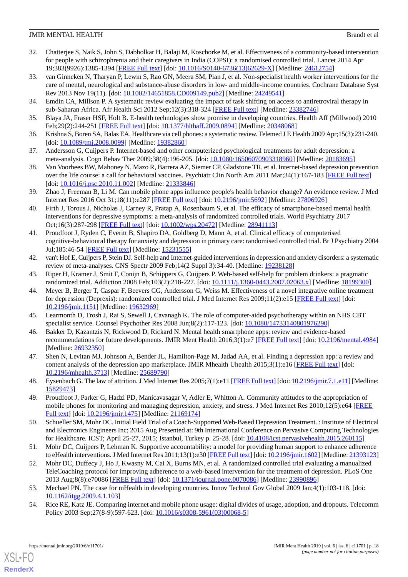- <span id="page-17-0"></span>32. Chatterjee S, Naik S, John S, Dabholkar H, Balaji M, Koschorke M, et al. Effectiveness of a community-based intervention for people with schizophrenia and their caregivers in India (COPSI): a randomised controlled trial. Lancet 2014 Apr 19;383(9926):1385-1394 [[FREE Full text](https://linkinghub.elsevier.com/retrieve/pii/S0140-6736(13)62629-X)] [doi: [10.1016/S0140-6736\(13\)62629-X\]](http://dx.doi.org/10.1016/S0140-6736(13)62629-X) [Medline: [24612754\]](http://www.ncbi.nlm.nih.gov/entrez/query.fcgi?cmd=Retrieve&db=PubMed&list_uids=24612754&dopt=Abstract)
- <span id="page-17-1"></span>33. van Ginneken N, Tharyan P, Lewin S, Rao GN, Meera SM, Pian J, et al. Non-specialist health worker interventions for the care of mental, neurological and substance-abuse disorders in low- and middle-income countries. Cochrane Database Syst Rev 2013 Nov 19(11). [doi: [10.1002/14651858.CD009149.pub2](http://dx.doi.org/10.1002/14651858.CD009149.pub2)] [Medline: [24249541\]](http://www.ncbi.nlm.nih.gov/entrez/query.fcgi?cmd=Retrieve&db=PubMed&list_uids=24249541&dopt=Abstract)
- <span id="page-17-3"></span><span id="page-17-2"></span>34. Emdin CA, Millson P. A systematic review evaluating the impact of task shifting on access to antiretroviral therapy in sub-Saharan Africa. Afr Health Sci 2012 Sep;12(3):318-324 [[FREE Full text](http://europepmc.org/abstract/MED/23382746)] [Medline: [23382746\]](http://www.ncbi.nlm.nih.gov/entrez/query.fcgi?cmd=Retrieve&db=PubMed&list_uids=23382746&dopt=Abstract)
- <span id="page-17-4"></span>35. Blaya JA, Fraser HSF, Holt B. E-health technologies show promise in developing countries. Health Aff (Millwood) 2010 Feb;29(2):244-251 [[FREE Full text](http://content.healthaffairs.org/cgi/pmidlookup?view=long&pmid=20348068)] [doi: [10.1377/hlthaff.2009.0894](http://dx.doi.org/10.1377/hlthaff.2009.0894)] [Medline: [20348068](http://www.ncbi.nlm.nih.gov/entrez/query.fcgi?cmd=Retrieve&db=PubMed&list_uids=20348068&dopt=Abstract)]
- <span id="page-17-5"></span>36. Krishna S, Boren SA, Balas EA. Healthcare via cell phones: a systematic review. Telemed J E Health 2009 Apr;15(3):231-240. [doi: [10.1089/tmj.2008.0099\]](http://dx.doi.org/10.1089/tmj.2008.0099) [Medline: [19382860](http://www.ncbi.nlm.nih.gov/entrez/query.fcgi?cmd=Retrieve&db=PubMed&list_uids=19382860&dopt=Abstract)]
- 37. Andersson G, Cuijpers P. Internet-based and other computerized psychological treatments for adult depression: a meta-analysis. Cogn Behav Ther 2009;38(4):196-205. [doi: [10.1080/16506070903318960](http://dx.doi.org/10.1080/16506070903318960)] [Medline: [20183695\]](http://www.ncbi.nlm.nih.gov/entrez/query.fcgi?cmd=Retrieve&db=PubMed&list_uids=20183695&dopt=Abstract)
- <span id="page-17-11"></span>38. Van Voorhees BW, Mahoney N, Mazo R, Barrera AZ, Siemer CP, Gladstone TR, et al. Internet-based depression prevention over the life course: a call for behavioral vaccines. Psychiatr Clin North Am 2011 Mar;34(1):167-183 [\[FREE Full text\]](http://europepmc.org/abstract/MED/21333846) [doi: [10.1016/j.psc.2010.11.002](http://dx.doi.org/10.1016/j.psc.2010.11.002)] [Medline: [21333846](http://www.ncbi.nlm.nih.gov/entrez/query.fcgi?cmd=Retrieve&db=PubMed&list_uids=21333846&dopt=Abstract)]
- 39. Zhao J, Freeman B, Li M. Can mobile phone apps influence people's health behavior change? An evidence review. J Med Internet Res 2016 Oct 31;18(11):e287 [[FREE Full text\]](http://www.jmir.org/2016/11/e287/) [doi: [10.2196/jmir.5692](http://dx.doi.org/10.2196/jmir.5692)] [Medline: [27806926\]](http://www.ncbi.nlm.nih.gov/entrez/query.fcgi?cmd=Retrieve&db=PubMed&list_uids=27806926&dopt=Abstract)
- <span id="page-17-6"></span>40. Firth J, Torous J, Nicholas J, Carney R, Pratap A, Rosenbaum S, et al. The efficacy of smartphone-based mental health interventions for depressive symptoms: a meta-analysis of randomized controlled trials. World Psychiatry 2017 Oct;16(3):287-298 [\[FREE Full text\]](http://dx.doi.org/10.1002/wps.20472) [doi: [10.1002/wps.20472\]](http://dx.doi.org/10.1002/wps.20472) [Medline: [28941113\]](http://www.ncbi.nlm.nih.gov/entrez/query.fcgi?cmd=Retrieve&db=PubMed&list_uids=28941113&dopt=Abstract)
- <span id="page-17-7"></span>41. Proudfoot J, Ryden C, Everitt B, Shapiro DA, Goldberg D, Mann A, et al. Clinical efficacy of computerised cognitive-behavioural therapy for anxiety and depression in primary care: randomised controlled trial. Br J Psychiatry 2004 Jul;185:46-54 [[FREE Full text](http://bjp.rcpsych.org/cgi/pmidlookup?view=long&pmid=15231555)] [Medline: [15231555](http://www.ncbi.nlm.nih.gov/entrez/query.fcgi?cmd=Retrieve&db=PubMed&list_uids=15231555&dopt=Abstract)]
- 42. van't Hof E, Cuijpers P, Stein DJ. Self-help and Internet-guided interventions in depression and anxiety disorders: a systematic review of meta-analyses. CNS Spectr 2009 Feb;14(2 Suppl 3):34-40. [Medline: [19238128](http://www.ncbi.nlm.nih.gov/entrez/query.fcgi?cmd=Retrieve&db=PubMed&list_uids=19238128&dopt=Abstract)]
- 43. Riper H, Kramer J, Smit F, Conijn B, Schippers G, Cuijpers P. Web-based self-help for problem drinkers: a pragmatic randomized trial. Addiction 2008 Feb;103(2):218-227. [doi: [10.1111/j.1360-0443.2007.02063.x\]](http://dx.doi.org/10.1111/j.1360-0443.2007.02063.x) [Medline: [18199300](http://www.ncbi.nlm.nih.gov/entrez/query.fcgi?cmd=Retrieve&db=PubMed&list_uids=18199300&dopt=Abstract)]
- <span id="page-17-9"></span><span id="page-17-8"></span>44. Meyer B, Berger T, Caspar F, Beevers CG, Andersson G, Weiss M. Effectiveness of a novel integrative online treatment for depression (Deprexis): randomized controlled trial. J Med Internet Res 2009;11(2):e15 [[FREE Full text\]](http://www.jmir.org/2009/2/e15/) [doi: [10.2196/jmir.1151](http://dx.doi.org/10.2196/jmir.1151)] [Medline: [19632969](http://www.ncbi.nlm.nih.gov/entrez/query.fcgi?cmd=Retrieve&db=PubMed&list_uids=19632969&dopt=Abstract)]
- <span id="page-17-10"></span>45. Learmonth D, Trosh J, Rai S, Sewell J, Cavanagh K. The role of computer-aided psychotherapy within an NHS CBT specialist service. Counsel Psychother Res 2008 Jun;8(2):117-123. [doi: [10.1080/14733140801976290\]](http://dx.doi.org/10.1080/14733140801976290)
- <span id="page-17-12"></span>46. Bakker D, Kazantzis N, Rickwood D, Rickard N. Mental health smartphone apps: review and evidence-based recommendations for future developments. JMIR Ment Health 2016;3(1):e7 [\[FREE Full text\]](http://mental.jmir.org/2016/1/e7/) [doi: [10.2196/mental.4984\]](http://dx.doi.org/10.2196/mental.4984) [Medline: [26932350](http://www.ncbi.nlm.nih.gov/entrez/query.fcgi?cmd=Retrieve&db=PubMed&list_uids=26932350&dopt=Abstract)]
- <span id="page-17-13"></span>47. Shen N, Levitan MJ, Johnson A, Bender JL, Hamilton-Page M, Jadad AA, et al. Finding a depression app: a review and content analysis of the depression app marketplace. JMIR Mhealth Uhealth 2015;3(1):e16 [\[FREE Full text\]](http://mhealth.jmir.org/2015/1/e16/) [doi: [10.2196/mhealth.3713](http://dx.doi.org/10.2196/mhealth.3713)] [Medline: [25689790](http://www.ncbi.nlm.nih.gov/entrez/query.fcgi?cmd=Retrieve&db=PubMed&list_uids=25689790&dopt=Abstract)]
- <span id="page-17-14"></span>48. Eysenbach G. The law of attrition. J Med Internet Res 2005;7(1):e11 [\[FREE Full text](http://www.jmir.org/2005/1/e11/)] [doi: [10.2196/jmir.7.1.e11](http://dx.doi.org/10.2196/jmir.7.1.e11)] [Medline: [15829473](http://www.ncbi.nlm.nih.gov/entrez/query.fcgi?cmd=Retrieve&db=PubMed&list_uids=15829473&dopt=Abstract)]
- 49. Proudfoot J, Parker G, Hadzi PD, Manicavasagar V, Adler E, Whitton A. Community attitudes to the appropriation of mobile phones for monitoring and managing depression, anxiety, and stress. J Med Internet Res 2010;12(5):e64 [\[FREE](http://www.jmir.org/2010/5/e64/) [Full text\]](http://www.jmir.org/2010/5/e64/) [doi: [10.2196/jmir.1475](http://dx.doi.org/10.2196/jmir.1475)] [Medline: [21169174\]](http://www.ncbi.nlm.nih.gov/entrez/query.fcgi?cmd=Retrieve&db=PubMed&list_uids=21169174&dopt=Abstract)
- <span id="page-17-15"></span>50. Schueller SM, Mohr DC. Initial Field Trial of a Coach-Supported Web-Based Depression Treatment. : Institute of Electrical and Electronics Engineers Inc; 2015 Aug Presented at: 9th International Conference on Pervasive Computing Technologies for Healthcare. ICST; April 25-27, 2015; Istanbul, Turkey p. 25-28. [doi: [10.4108/icst.pervasivehealth.2015.260115\]](http://dx.doi.org/10.4108/icst.pervasivehealth.2015.260115)
- <span id="page-17-17"></span><span id="page-17-16"></span>51. Mohr DC, Cuijpers P, Lehman K. Supportive accountability: a model for providing human support to enhance adherence to eHealth interventions. J Med Internet Res 2011;13(1):e30 [\[FREE Full text\]](https://www.jmir.org/2011/1/e30/) [doi: [10.2196/jmir.1602\]](http://dx.doi.org/10.2196/jmir.1602) [Medline: [21393123\]](http://www.ncbi.nlm.nih.gov/entrez/query.fcgi?cmd=Retrieve&db=PubMed&list_uids=21393123&dopt=Abstract)
- 52. Mohr DC, Duffecy J, Ho J, Kwasny M, Cai X, Burns MN, et al. A randomized controlled trial evaluating a manualized TeleCoaching protocol for improving adherence to a web-based intervention for the treatment of depression. PLoS One 2013 Aug;8(8):e70086 [[FREE Full text](http://dx.plos.org/10.1371/journal.pone.0070086)] [doi: [10.1371/journal.pone.0070086](http://dx.doi.org/10.1371/journal.pone.0070086)] [Medline: [23990896](http://www.ncbi.nlm.nih.gov/entrez/query.fcgi?cmd=Retrieve&db=PubMed&list_uids=23990896&dopt=Abstract)]
- 53. Mechael PN. The case for mHealth in developing countries. Innov Technol Gov Global 2009 Jan;4(1):103-118. [doi: [10.1162/itgg.2009.4.1.103](http://dx.doi.org/10.1162/itgg.2009.4.1.103)]
- 54. Rice RE, Katz JE. Comparing internet and mobile phone usage: digital divides of usage, adoption, and dropouts. Telecomm Policy 2003 Sep; 27(8-9): 597-623. [doi: [10.1016/s0308-5961\(03\)00068-5\]](http://dx.doi.org/10.1016/s0308-5961(03)00068-5)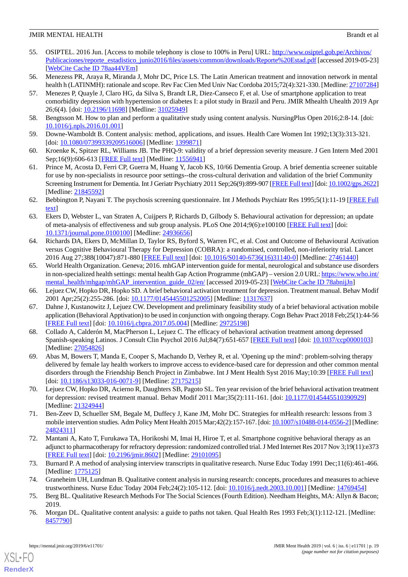- <span id="page-18-0"></span>55. OSIPTEL. 2016 Jun. [Access to mobile telephony is close to 100% in Peru] URL: [http://www.osiptel.gob.pe/Archivos/](http://www.osiptel.gob.pe/Archivos/Publicaciones/reporte_estadistico_junio2016/files/assets/common/downloads/Reporte%20Estad.pdf) [Publicaciones/reporte\\_estadistico\\_junio2016/files/assets/common/downloads/Reporte%20Estad.pdf](http://www.osiptel.gob.pe/Archivos/Publicaciones/reporte_estadistico_junio2016/files/assets/common/downloads/Reporte%20Estad.pdf) [accessed 2019-05-23] [[WebCite Cache ID 78aa44VEm\]](http://www.webcitation.org/

                                78aa44VEm)
- <span id="page-18-2"></span><span id="page-18-1"></span>56. Menezess PR, Araya R, Miranda J, Mohr DC, Price LS. The Latin American treatment and innovation network in mental health h (LATINMH): rationale and scope. Rev Fac Cien Med Univ Nac Cordoba 2015;72(4):321-330. [Medline: [27107284\]](http://www.ncbi.nlm.nih.gov/entrez/query.fcgi?cmd=Retrieve&db=PubMed&list_uids=27107284&dopt=Abstract)
- 57. Menezes P, Quayle J, Claro HG, da Silva S, Brandt LR, Diez-Canseco F, et al. Use of smartphone application to treat comorbidity depression with hypertension or diabetes I: a pilot study in Brazil and Peru. JMIR Mhealth Uhealth 2019 Apr 26;6(4). [doi: [10.2196/11698\]](http://dx.doi.org/10.2196/11698) [Medline: [31025949](http://www.ncbi.nlm.nih.gov/entrez/query.fcgi?cmd=Retrieve&db=PubMed&list_uids=31025949&dopt=Abstract)]
- <span id="page-18-4"></span><span id="page-18-3"></span>58. Bengtsson M. How to plan and perform a qualitative study using content analysis. NursingPlus Open 2016;2:8-14. [doi: [10.1016/j.npls.2016.01.001](http://dx.doi.org/10.1016/j.npls.2016.01.001)]
- <span id="page-18-5"></span>59. Downe-Wamboldt B. Content analysis: method, applications, and issues. Health Care Women Int 1992;13(3):313-321. [doi: [10.1080/07399339209516006](http://dx.doi.org/10.1080/07399339209516006)] [Medline: [1399871\]](http://www.ncbi.nlm.nih.gov/entrez/query.fcgi?cmd=Retrieve&db=PubMed&list_uids=1399871&dopt=Abstract)
- <span id="page-18-6"></span>60. Kroenke K, Spitzer RL, Williams JB. The PHQ-9: validity of a brief depression severity measure. J Gen Intern Med 2001 Sep;16(9):606-613 [[FREE Full text](http://europepmc.org/abstract/MED/11556941)] [Medline: [11556941](http://www.ncbi.nlm.nih.gov/entrez/query.fcgi?cmd=Retrieve&db=PubMed&list_uids=11556941&dopt=Abstract)]
- <span id="page-18-7"></span>61. Prince M, Acosta D, Ferri CP, Guerra M, Huang Y, Jacob KS, 10/66 Dementia Group. A brief dementia screener suitable for use by non-specialists in resource poor settings--the cross-cultural derivation and validation of the brief Community Screening Instrument for Dementia. Int J Geriatr Psychiatry 2011 Sep;26(9):899-907 [\[FREE Full text\]](https://dx.doi.org/10.1002/gps.2622) [doi: [10.1002/gps.2622\]](http://dx.doi.org/10.1002/gps.2622) [Medline: [21845592](http://www.ncbi.nlm.nih.gov/entrez/query.fcgi?cmd=Retrieve&db=PubMed&list_uids=21845592&dopt=Abstract)]
- <span id="page-18-8"></span>62. Bebbington P, Nayani T. The psychosis screening questionnaire. Int J Methods Psychiatr Res 1995;5(1):11-19 [[FREE Full](http://psycnet.apa.org/record/1995-39335-001) [text](http://psycnet.apa.org/record/1995-39335-001)]
- 63. Ekers D, Webster L, van Straten A, Cuijpers P, Richards D, Gilbody S. Behavioural activation for depression; an update of meta-analysis of effectiveness and sub group analysis. PLoS One 2014;9(6):e100100 [\[FREE Full text\]](http://dx.plos.org/10.1371/journal.pone.0100100) [doi: [10.1371/journal.pone.0100100\]](http://dx.doi.org/10.1371/journal.pone.0100100) [Medline: [24936656](http://www.ncbi.nlm.nih.gov/entrez/query.fcgi?cmd=Retrieve&db=PubMed&list_uids=24936656&dopt=Abstract)]
- 64. Richards DA, Ekers D, McMillan D, Taylor RS, Byford S, Warren FC, et al. Cost and Outcome of Behavioural Activation versus Cognitive Behavioural Therapy for Depression (COBRA): a randomised, controlled, non-inferiority trial. Lancet 2016 Aug 27;388(10047):871-880 [\[FREE Full text](https://linkinghub.elsevier.com/retrieve/pii/S0140-6736(16)31140-0)] [doi: [10.1016/S0140-6736\(16\)31140-0\]](http://dx.doi.org/10.1016/S0140-6736(16)31140-0) [Medline: [27461440\]](http://www.ncbi.nlm.nih.gov/entrez/query.fcgi?cmd=Retrieve&db=PubMed&list_uids=27461440&dopt=Abstract)
- <span id="page-18-10"></span><span id="page-18-9"></span>65. World Health Organization. Geneva; 2016. mhGAP intervention guide for mental, neurological and substance use disorders in non-specialized health settings: mental health Gap Action Programme (mhGAP) – version 2.0 URL: [https://www.who.int/](https://www.who.int/mental_health/mhgap/mhGAP_intervention_guide_02/en/) [mental\\_health/mhgap/mhGAP\\_intervention\\_guide\\_02/en/](https://www.who.int/mental_health/mhgap/mhGAP_intervention_guide_02/en/) [accessed 2019-05-23] [\[WebCite Cache ID 78abnijJn\]](http://www.webcitation.org/

                                78abnijJn)
- <span id="page-18-11"></span>66. Lejuez CW, Hopko DR, Hopko SD. A brief behavioral activation treatment for depression. Treatment manual. Behav Modif 2001 Apr;25(2):255-286. [doi: [10.1177/0145445501252005\]](http://dx.doi.org/10.1177/0145445501252005) [Medline: [11317637\]](http://www.ncbi.nlm.nih.gov/entrez/query.fcgi?cmd=Retrieve&db=PubMed&list_uids=11317637&dopt=Abstract)
- 67. Dahne J, Kustanowitz J, Lejuez CW. Development and preliminary feasibility study of a brief behavioral activation mobile application (Behavioral Apptivation) to be used in conjunction with ongoing therapy. Cogn Behav Pract 2018 Feb;25(1):44-56 [[FREE Full text](http://europepmc.org/abstract/MED/29725198)] [doi: [10.1016/j.cbpra.2017.05.004\]](http://dx.doi.org/10.1016/j.cbpra.2017.05.004) [Medline: [29725198](http://www.ncbi.nlm.nih.gov/entrez/query.fcgi?cmd=Retrieve&db=PubMed&list_uids=29725198&dopt=Abstract)]
- <span id="page-18-12"></span>68. Collado A, Calderón M, MacPherson L, Lejuez C. The efficacy of behavioral activation treatment among depressed Spanish-speaking Latinos. J Consult Clin Psychol 2016 Jul;84(7):651-657 [\[FREE Full text\]](http://europepmc.org/abstract/MED/27054826) [doi: [10.1037/ccp0000103\]](http://dx.doi.org/10.1037/ccp0000103) [Medline: [27054826](http://www.ncbi.nlm.nih.gov/entrez/query.fcgi?cmd=Retrieve&db=PubMed&list_uids=27054826&dopt=Abstract)]
- <span id="page-18-14"></span><span id="page-18-13"></span>69. Abas M, Bowers T, Manda E, Cooper S, Machando D, Verhey R, et al. 'Opening up the mind': problem-solving therapy delivered by female lay health workers to improve access to evidence-based care for depression and other common mental disorders through the Friendship Bench Project in Zimbabwe. Int J Ment Health Syst 2016 May;10:39 [[FREE Full text](https://ijmhs.biomedcentral.com/articles/10.1186/s13033-016-0071-9)] [doi: [10.1186/s13033-016-0071-9](http://dx.doi.org/10.1186/s13033-016-0071-9)] [Medline: [27175215\]](http://www.ncbi.nlm.nih.gov/entrez/query.fcgi?cmd=Retrieve&db=PubMed&list_uids=27175215&dopt=Abstract)
- <span id="page-18-15"></span>70. Lejuez CW, Hopko DR, Acierno R, Daughters SB, Pagoto SL. Ten year revision of the brief behavioral activation treatment for depression: revised treatment manual. Behav Modif 2011 Mar;35(2):111-161. [doi: [10.1177/0145445510390929](http://dx.doi.org/10.1177/0145445510390929)] [Medline: [21324944](http://www.ncbi.nlm.nih.gov/entrez/query.fcgi?cmd=Retrieve&db=PubMed&list_uids=21324944&dopt=Abstract)]
- <span id="page-18-16"></span>71. Ben-Zeev D, Schueller SM, Begale M, Duffecy J, Kane JM, Mohr DC. Strategies for mHealth research: lessons from 3 mobile intervention studies. Adm Policy Ment Health 2015 Mar;42(2):157-167. [doi: [10.1007/s10488-014-0556-2\]](http://dx.doi.org/10.1007/s10488-014-0556-2) [Medline: [24824311](http://www.ncbi.nlm.nih.gov/entrez/query.fcgi?cmd=Retrieve&db=PubMed&list_uids=24824311&dopt=Abstract)]
- <span id="page-18-18"></span><span id="page-18-17"></span>72. Mantani A, Kato T, Furukawa TA, Horikoshi M, Imai H, Hiroe T, et al. Smartphone cognitive behavioral therapy as an adjunct to pharmacotherapy for refractory depression: randomized controlled trial. J Med Internet Res 2017 Nov 3;19(11):e373 [[FREE Full text](http://www.jmir.org/2017/11/e373/)] [doi: [10.2196/jmir.8602](http://dx.doi.org/10.2196/jmir.8602)] [Medline: [29101095](http://www.ncbi.nlm.nih.gov/entrez/query.fcgi?cmd=Retrieve&db=PubMed&list_uids=29101095&dopt=Abstract)]
- <span id="page-18-19"></span>73. Burnard P. A method of analysing interview transcripts in qualitative research. Nurse Educ Today 1991 Dec;11(6):461-466. [Medline: [1775125\]](http://www.ncbi.nlm.nih.gov/entrez/query.fcgi?cmd=Retrieve&db=PubMed&list_uids=1775125&dopt=Abstract)
- 74. Graneheim UH, Lundman B. Qualitative content analysis in nursing research: concepts, procedures and measures to achieve trustworthiness. Nurse Educ Today 2004 Feb;24(2):105-112. [doi: [10.1016/j.nedt.2003.10.001\]](http://dx.doi.org/10.1016/j.nedt.2003.10.001) [Medline: [14769454\]](http://www.ncbi.nlm.nih.gov/entrez/query.fcgi?cmd=Retrieve&db=PubMed&list_uids=14769454&dopt=Abstract)
- 75. Berg BL. Qualitative Research Methods For The Social Sciences (Fourth Edition). Needham Heights, MA: Allyn & Bacon; 2019.
- 76. Morgan DL. Qualitative content analysis: a guide to paths not taken. Qual Health Res 1993 Feb;3(1):112-121. [Medline: [8457790\]](http://www.ncbi.nlm.nih.gov/entrez/query.fcgi?cmd=Retrieve&db=PubMed&list_uids=8457790&dopt=Abstract)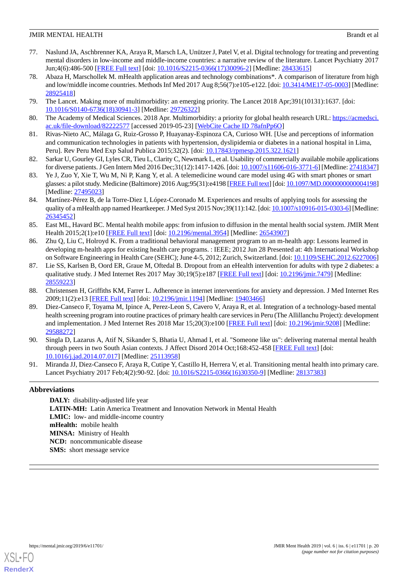- <span id="page-19-0"></span>77. Naslund JA, Aschbrenner KA, Araya R, Marsch LA, Unützer J, Patel V, et al. Digital technology for treating and preventing mental disorders in low-income and middle-income countries: a narrative review of the literature. Lancet Psychiatry 2017 Jun;4(6):486-500 [[FREE Full text](http://europepmc.org/abstract/MED/28433615)] [doi: [10.1016/S2215-0366\(17\)30096-2\]](http://dx.doi.org/10.1016/S2215-0366(17)30096-2) [Medline: [28433615](http://www.ncbi.nlm.nih.gov/entrez/query.fcgi?cmd=Retrieve&db=PubMed&list_uids=28433615&dopt=Abstract)]
- <span id="page-19-1"></span>78. Abaza H, Marschollek M. mHealth application areas and technology combinations\*. A comparison of literature from high and low/middle income countries. Methods Inf Med 2017 Aug 8;56(7):e105-e122. [doi: [10.3414/ME17-05-0003](http://dx.doi.org/10.3414/ME17-05-0003)] [Medline: [28925418](http://www.ncbi.nlm.nih.gov/entrez/query.fcgi?cmd=Retrieve&db=PubMed&list_uids=28925418&dopt=Abstract)]
- <span id="page-19-3"></span><span id="page-19-2"></span>79. The Lancet. Making more of multimorbidity: an emerging priority. The Lancet 2018 Apr;391(10131):1637. [doi: [10.1016/S0140-6736\(18\)30941-3\]](http://dx.doi.org/10.1016/S0140-6736(18)30941-3) [Medline: [29726322](http://www.ncbi.nlm.nih.gov/entrez/query.fcgi?cmd=Retrieve&db=PubMed&list_uids=29726322&dopt=Abstract)]
- <span id="page-19-4"></span>80. The Academy of Medical Sciences. 2018 Apr. Multimorbidity: a priority for global health research URL: [https://acmedsci.](https://acmedsci.ac.uk/file-download/82222577) [ac.uk/file-download/82222577](https://acmedsci.ac.uk/file-download/82222577) [accessed 2019-05-23] [\[WebCite Cache ID 78afnPp6O\]](http://www.webcitation.org/

                                78afnPp6O)
- <span id="page-19-5"></span>81. Rivas-Nieto AC, Málaga G, Ruiz-Grosso P, Huayanay-Espinoza CA, Curioso WH. [Use and perceptions of information and communication technologies in patients with hypertension, dyslipidemia or diabetes in a national hospital in Lima, Peru]. Rev Peru Med Exp Salud Publica 2015;32(2). [doi: [10.17843/rpmesp.2015.322.1621\]](http://dx.doi.org/10.17843/rpmesp.2015.322.1621)
- 82. Sarkar U, Gourley GI, Lyles CR, Tieu L, Clarity C, Newmark L, et al. Usability of commercially available mobile applications for diverse patients. J Gen Intern Med 2016 Dec;31(12):1417-1426. [doi: [10.1007/s11606-016-3771-6](http://dx.doi.org/10.1007/s11606-016-3771-6)] [Medline: [27418347\]](http://www.ncbi.nlm.nih.gov/entrez/query.fcgi?cmd=Retrieve&db=PubMed&list_uids=27418347&dopt=Abstract)
- 83. Ye J, Zuo Y, Xie T, Wu M, Ni P, Kang Y, et al. A telemedicine wound care model using 4G with smart phones or smart glasses: a pilot study. Medicine (Baltimore) 2016 Aug;95(31):e4198 [[FREE Full text\]](http://Insights.ovid.com/pubmed?pmid=27495023) [doi: 10.1097/MD.000000000004198] [Medline: [27495023](http://www.ncbi.nlm.nih.gov/entrez/query.fcgi?cmd=Retrieve&db=PubMed&list_uids=27495023&dopt=Abstract)]
- 84. Martínez-Pérez B, de la Torre-Diez I, López-Coronado M. Experiences and results of applying tools for assessing the quality of a mHealth app named Heartkeeper. J Med Syst 2015 Nov;39(11):142. [doi: [10.1007/s10916-015-0303-6\]](http://dx.doi.org/10.1007/s10916-015-0303-6) [Medline: [26345452](http://www.ncbi.nlm.nih.gov/entrez/query.fcgi?cmd=Retrieve&db=PubMed&list_uids=26345452&dopt=Abstract)]
- <span id="page-19-6"></span>85. East ML, Havard BC. Mental health mobile apps: from infusion to diffusion in the mental health social system. JMIR Ment Health 2015;2(1):e10 [\[FREE Full text\]](http://mental.jmir.org/2015/1/e10/) [doi: [10.2196/mental.3954\]](http://dx.doi.org/10.2196/mental.3954) [Medline: [26543907\]](http://www.ncbi.nlm.nih.gov/entrez/query.fcgi?cmd=Retrieve&db=PubMed&list_uids=26543907&dopt=Abstract)
- <span id="page-19-7"></span>86. Zhu Q, Liu C, Holroyd K. From a traditional behavioral management program to an m-health app: Lessons learned in developing m-health apps for existing health care programs. : IEEE; 2012 Jun 28 Presented at: 4th International Workshop on Software Engineering in Health Care (SEHC); June 4-5, 2012; Zurich, Switzerland. [doi: [10.1109/SEHC.2012.6227006](http://dx.doi.org/10.1109/SEHC.2012.6227006)]
- <span id="page-19-9"></span><span id="page-19-8"></span>87. Lie SS, Karlsen B, Oord ER, Graue M, Oftedal B. Dropout from an eHealth intervention for adults with type 2 diabetes: a qualitative study. J Med Internet Res 2017 May 30;19(5):e187 [[FREE Full text](http://www.jmir.org/2017/5/e187/)] [doi: [10.2196/jmir.7479](http://dx.doi.org/10.2196/jmir.7479)] [Medline: [28559223](http://www.ncbi.nlm.nih.gov/entrez/query.fcgi?cmd=Retrieve&db=PubMed&list_uids=28559223&dopt=Abstract)]
- 88. Christensen H, Griffiths KM, Farrer L. Adherence in internet interventions for anxiety and depression. J Med Internet Res 2009;11(2):e13 [\[FREE Full text](http://www.jmir.org/2009/2/e13/)] [doi: [10.2196/jmir.1194\]](http://dx.doi.org/10.2196/jmir.1194) [Medline: [19403466](http://www.ncbi.nlm.nih.gov/entrez/query.fcgi?cmd=Retrieve&db=PubMed&list_uids=19403466&dopt=Abstract)]
- <span id="page-19-10"></span>89. Diez-Canseco F, Toyama M, Ipince A, Perez-Leon S, Cavero V, Araya R, et al. Integration of a technology-based mental health screening program into routine practices of primary health care services in Peru (The Allillanchu Project): development and implementation. J Med Internet Res 2018 Mar 15;20(3):e100 [[FREE Full text](http://www.jmir.org/2018/3/e100/)] [doi: [10.2196/jmir.9208](http://dx.doi.org/10.2196/jmir.9208)] [Medline: [29588272](http://www.ncbi.nlm.nih.gov/entrez/query.fcgi?cmd=Retrieve&db=PubMed&list_uids=29588272&dopt=Abstract)]
- <span id="page-19-11"></span>90. Singla D, Lazarus A, Atif N, Sikander S, Bhatia U, Ahmad I, et al. "Someone like us": delivering maternal mental health through peers in two South Asian contexts. J Affect Disord 2014 Oct;168:452-458 [[FREE Full text](http://europepmc.org/abstract/MED/25113958)] [doi: [10.1016/j.jad.2014.07.017\]](http://dx.doi.org/10.1016/j.jad.2014.07.017) [Medline: [25113958\]](http://www.ncbi.nlm.nih.gov/entrez/query.fcgi?cmd=Retrieve&db=PubMed&list_uids=25113958&dopt=Abstract)
- 91. Miranda JJ, Diez-Canseco F, Araya R, Cutipe Y, Castillo H, Herrera V, et al. Transitioning mental health into primary care. Lancet Psychiatry 2017 Feb;4(2):90-92. [doi: [10.1016/S2215-0366\(16\)30350-9](http://dx.doi.org/10.1016/S2215-0366(16)30350-9)] [Medline: [28137383](http://www.ncbi.nlm.nih.gov/entrez/query.fcgi?cmd=Retrieve&db=PubMed&list_uids=28137383&dopt=Abstract)]

# **Abbreviations**

**DALY:** disability-adjusted life year **LATIN-MH:** Latin America Treatment and Innovation Network in Mental Health **LMIC:** low- and middle-income country **mHealth:** mobile health **MINSA:** Ministry of Health **NCD:** noncommunicable disease **SMS:** short message service